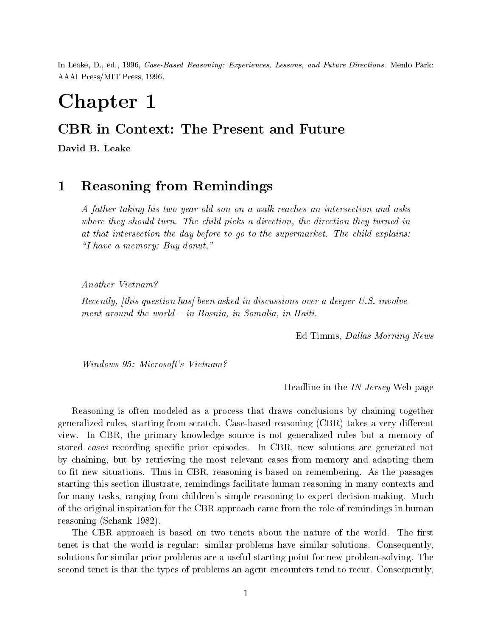In Leake, D., ed., 1996, Case-Based Reasoning: Experiences, Lessons, and Future Directions. Menlo Park: AAAI Press/MIT Press, 1996.

# Chapter <sup>1</sup>

# CBR in Context: The Present and Future

David B. Leake

#### Reasoning from Remindings  $\mathbf{1}$

A father taking his two-year-old son on a walk reaches an intersection and asks where they should turn. The child picks a direction, the direction they turned in at that intersection the day before to go to the supermarket. The child explains: "I have a memory: Buy donut."

Another Vietnam?

Recently, [this question has] been asked in discussions over a deeper U.S. involvement around the world  $-$  in Bosnia, in Somalia, in Haiti.

Ed Timms, Dallas Morning News

Windows 95: Microsoft's Vietnam?

Headline in the IN Jersey Web page

Reasoning is often modeled as a process that draws conclusions by chaining together generalized rules, starting from scratch. Case-based reasoning (CBR) takes a very different view. In CBR, the primary knowledge source is not generalized rules but a memory of stored *cases* recording specific prior episodes. In CBR, new solutions are generated not by chaining, but by retrieving the most relevant cases from memory and adapting them to fit new situations. Thus in CBR, reasoning is based on remembering. As the passages starting this section illustrate, remindings facilitate human reasoning in many contexts and for many tasks, ranging from children's simple reasoning to expert decision-making. Much of the original inspiration for the CBR approach came from the role of remindings in human reasoning (Schank 1982).

The CBR approach is based on two tenets about the nature of the world. The first tenet is that the world is regular: similar problems have similar solutions. Consequently, solutions for similar prior problems are a useful starting point for new problem-solving. The second tenet is that the types of problems an agent encounters tend to recur. Consequently,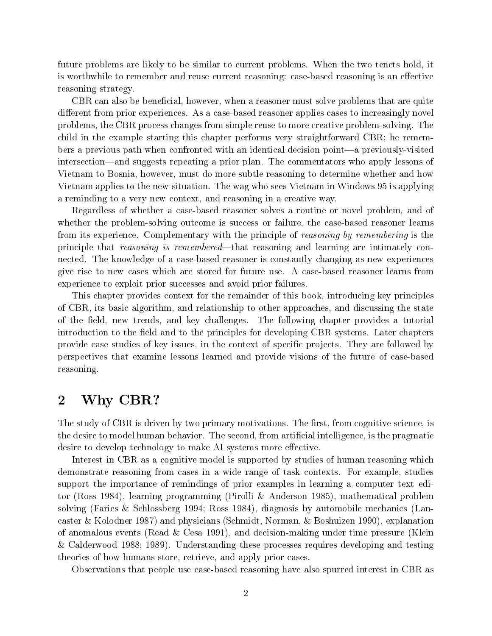future problems are likely to be similar to current problems. When the two tenets hold, it is worthwhile to remember and reuse current reasoning: case-based reasoning is an effective reasoning strategy.

CBR can also be beneficial, however, when a reasoner must solve problems that are quite different from prior experiences. As a case-based reasoner applies cases to increasingly novel problems, the CBR process changes from simple reuse to more creative problem-solving. The child in the example starting this chapter performs very straightforward CBR; he remembers a previous path when confronted with an identical decision point—a previously-visited intersection—and suggests repeating a prior plan. The commentators who apply lessons of Vietnam to Bosnia, however, must do more subtle reasoning to determine whether and how Vietnam applies to the new situation. The wag who sees Vietnam in Windows 95 is applying a reminding to a very new context, and reasoning in a creative way.

Regardless of whether a case-based reasoner solves a routine or novel problem, and of whether the problem-solving outcome is success or failure, the case-based reasoner learns from its experience. Complementary with the principle of reasoning by remembering is the principle that *reasoning is remembered*—that reasoning and learning are intimately connected. The knowledge of a case-based reasoner is constantly changing as new experiences give rise to new cases which are stored for future use. A case-based reasoner learns from experience to exploit prior successes and avoid prior failures.

This chapter provides context for the remainder of this book, introducing key principles of CBR, its basic algorithm, and relationship to other approaches, and discussing the state of the field, new trends, and key challenges. The following chapter provides a tutorial introduction to the field and to the principles for developing CBR systems. Later chapters provide case studies of key issues, in the context of specific projects. They are followed by perspectives that examine lessons learned and provide visions of the future of case-based reasoning.

# 2 Why CBR?

The study of CBR is driven by two primary motivations. The first, from cognitive science, is the desire to model human behavior. The second, from artificial intelligence, is the pragmatic desire to develop technology to make AI systems more effective.

Interest in CBR as a cognitive model is supported by studies of human reasoning which demonstrate reasoning from cases in a wide range of task contexts. For example, studies support the importance of remindings of prior examples in learning a computer text editor (Ross 1984), learning programming (Pirolli & Anderson 1985), mathematical problem solving (Faries & Schlossberg 1994; Ross 1984), diagnosis by automobile mechanics (Lancaster & Kolodner 1987) and physicians (Schmidt, Norman, & Boshuizen 1990), explanation of anomalous events (Read & Cesa 1991), and decision-making under time pressure (Klein & Calderwood 1988; 1989). Understanding these processes requires developing and testing theories of how humans store, retrieve, and apply prior cases.

Observations that people use case-based reasoning have also spurred interest in CBR as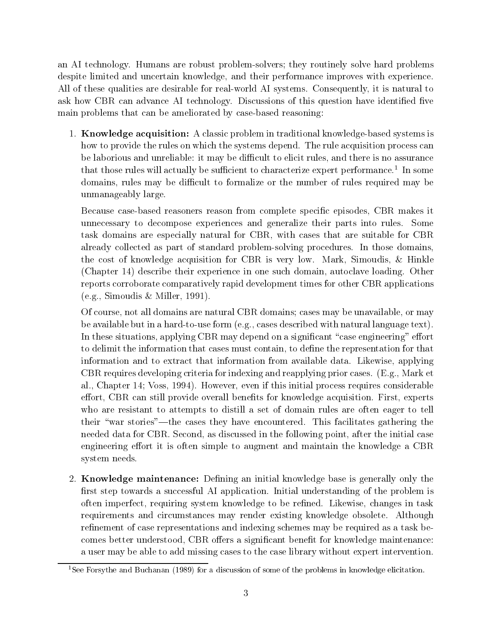an AItechnology. Humans are robust problem-solvers; they routinely solve hard problems despite limited and uncertain knowledge, and their performance improves with experience. All of these qualities are desirable for real-world AI systems. Consequently, it is natural to ask how CBR can advance AI technology. Discussions of this question have identified five main problems that can be ameliorated by case-based reasoning:

1. Knowledge acquisition: A classic problem in traditional knowledge-based systems is how to provide the rules on which the systems depend. The rule acquisition process can be laborious and unreliable: it may be difficult to elicit rules, and there is no assurance that those rules will actually be sufficient to characterize expert performance. Thisome domains, rules may be difficult to formalize or the number of rules required may be unmanageably large.

Because case-based reasoners reason from complete specific episodes, CBR makes it unnecessary to decompose experiences and generalize their parts into rules. Some task domains are especially natural for CBR, with cases that are suitable for CBR already collected as part of standard problem-solving procedures. In those domains, the cost of knowledge acquisition for CBR is very low. Mark, Simoudis, & Hinkle (Chapter 14) describe their experience in one such domain, autoclave loading. Other reports corroborate comparatively rapid development times for other CBR applications (e.g., Simoudis & Miller, 1991).

Of course, not all domains are natural CBR domains; cases may be unavailable, or may be available but in a hard-to-use form (e.g., cases described with natural language text). In these situations, applying CBR may depend on a significant "case engineering" effort to delimit the information that cases must contain, to define the representation for that information and to extract that information from available data. Likewise, applying CBR requires developing criteria for indexing and reapplying prior cases. (E.g., Mark et al., Chapter 14; Voss, 1994). However, even if this initial process requires considerable effort, CBR can still provide overall benefits for knowledge acquisition. First, experts who are resistant to attempts to distill a set of domain rules are often eager to tell their "war stories"—the cases they have encountered. This facilitates gathering the needed data for CBR. Second, as discussed in the following point, after the initial case engineering effort it is often simple to augment and maintain the knowledge a CBR system needs.

2. **Knowledge maintenance:** Defining an initial knowledge base is generally only the first step towards a successful AI application. Initial understanding of the problem is often imperfect, requiring system knowledge to be rened. Likewise, changes in task requirements and circumstances may render existing knowledge obsolete. Although refinement of case representations and indexing schemes may be required as a task becomes better understood, CBR offers a significant benefit for knowledge maintenance: a user may be able to add missing cases to the case library without expert intervention.

<sup>&</sup>lt;sup>1</sup>See Forsythe and Buchanan (1989) for a discussion of some of the problems in knowledge elicitation.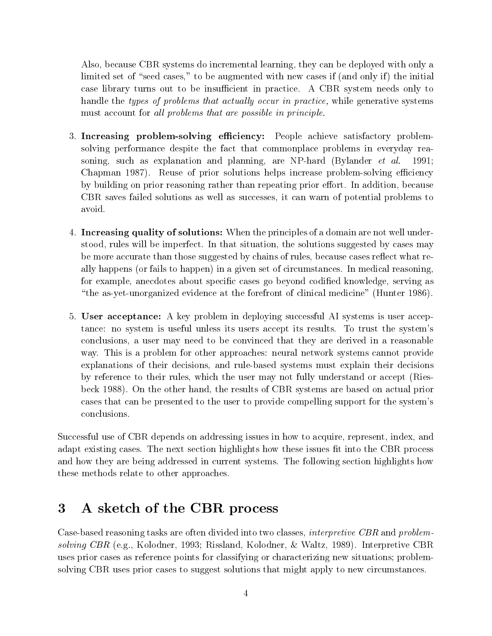Also, because CBR systems do incremental learning, they can be deployed with only a limited set of "seed cases," to be augmented with new cases if (and only if) the initial case library turns out to be insufficient in practice. A CBR system needs only to handle the types of problems that actually occur in practice, while generative systems must account for all problems that are possible in principle.

- 3. Increasing problem-solving efficiency: People achieve satisfactory problemsolving performance despite the fact that commonplace problems in everyday reasoning, such as explanation and planning, are NP-hard (Bylander *et al.* 1991; Chapman 1987). Reuse of prior solutions helps increase problem-solving efficiency by building on prior reasoning rather than repeating prior effort. In addition, because CBR savesfailed solutions as well as successes, it can warn of potential problems to avoid.
- 4. Increasing quality of solutions: When the principles of a domain are not well understood, rules will be imperfect. In that situation, the solutions suggested by cases may be more accurate than those suggested by chains of rules, because cases reflect what really happens (or fails to happen) in a given set of circumstances. In medical reasoning, for example, anecdotes about specic cases go beyond codied knowledge, serving as \the as-yet-unorganized evidence at the forefront of clinical medicine" (Hunter 1986).
- 5. User acceptance: A key problem in deploying successful AI systems is user acceptance: no system is usefulunless its users accept its results. To trust the system's conclusions, a user may need to be convinced that they are derived in a reasonable way. This is a problem for other approaches: neural network systems cannot provide explanations of their decisions, and rule-based systems must explain their decisions by reference to their rules, which the user may not fully understand or accept (Riesbeck 1988). On the other hand, the results of CBR systems are based on actual prior cases that can be presented to the user to provide compelling support for the system's conclusions.

Successful use of CBR depends on addressing issues in how to acquire, represent, index, and adapt existing cases. The next section highlights how these issues fit into the CBR process and how they are being addressed in current systems. The following section highlights how these methods relate to other approaches.

# 3 A sketch of the CBR process

Case-based reasoning tasks are often divided into two classes, *interpretive CBR* and *problem*solving CBR (e.g., Kolodner, 1993; Rissland, Kolodner, & Waltz, 1989). Interpretive CBR uses prior cases as reference points for classifying or characterizing new situations; problemsolving CBR uses prior cases to suggest solutions that might apply to new circumstances.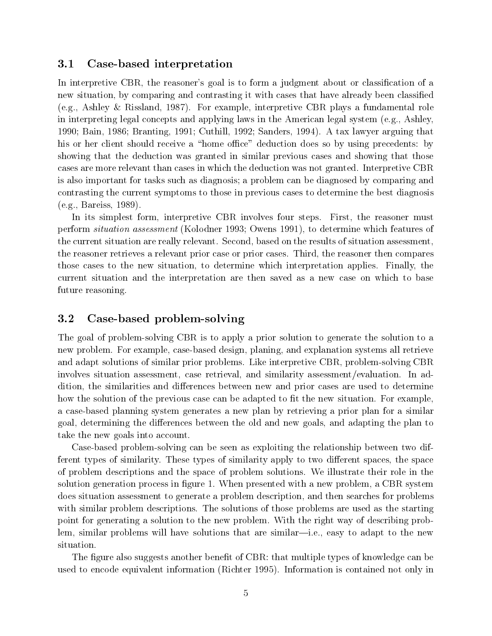#### 3.1 Case-based interpretation

In interpretive CBR, the reasoner's goal is to form a judgment about or classication of a new situation, by comparing and contrasting it with cases that have already been classied (e.g., Ashley & Rissland, 1987). For example, interpretive CBR plays a fundamental role in interpreting legal concepts and applying laws in the American legal system (e.g., Ashley, 1990; Bain, 1986; Branting, 1991; Cuthill, 1992; Sanders, 1994). A tax lawyer arguing that his or her client should receive a "home office" deduction does so by using precedents: by showing that the deduction was granted in similar previous cases and showing that those cases are more relevant than cases in which the deduction was not granted. Interpretive CBR is also important for tasks such as diagnosis; a problem can be diagnosed by comparing and contrasting the current symptoms to those in previous cases to determine the best diagnosis (e.g., Bareiss, 1989).

In its simplest form, interpretive CBR involves four steps. First, the reasoner must perform situation assessment (Kolodner 1993; Owens 1991), to determine which features of the current situation are really relevant. Second, based on the results of situation assessment, the reasoner retrieves a relevant prior case or prior cases. Third, the reasoner then compares those cases to the new situation, to determine which interpretation applies. Finally, the current situation and the interpretation are then saved as a new case on which to base future reasoning.

#### 3.2 Case-based problem-solving

The goal of problem-solving CBR is to apply a prior solution to generate the solution to a new problem. For example, case-based design, planing, and explanation systems all retrieve and adapt solutions of similar prior problems. Like interpretive CBR, problem-solving CBR involves situation assessment, case retrieval, and similarity assessment/evaluation. In addition, the similarities and differences between new and prior cases are used to determine how the solution of the previous case can be adapted to fit the new situation. For example, a case-based planning system generates a new plan by retrieving a prior plan for a similar goal, determining the differences between the old and new goals, and adapting the plan to take the new goals into account.

Case-based problem-solving can be seen as exploiting the relationship between two different types of similarity. These types of similarity apply to two different spaces, the space of problem descriptions and the space of problem solutions. We illustrate their role in the solution generation process in figure 1. When presented with a new problem, a CBR system does situation assessment to generate a problem description, and then searches for problems with similar problem descriptions. The solutions of those problems are used as the starting point for generating a solution to the new problem. With the right way of describing problem, similar problems will have solutions that are similar—i.e., easy to adapt to the new situation.

The figure also suggests another benefit of CBR: that multiple types of knowledge can be used to encode equivalent information (Richter 1995). Information is contained not only in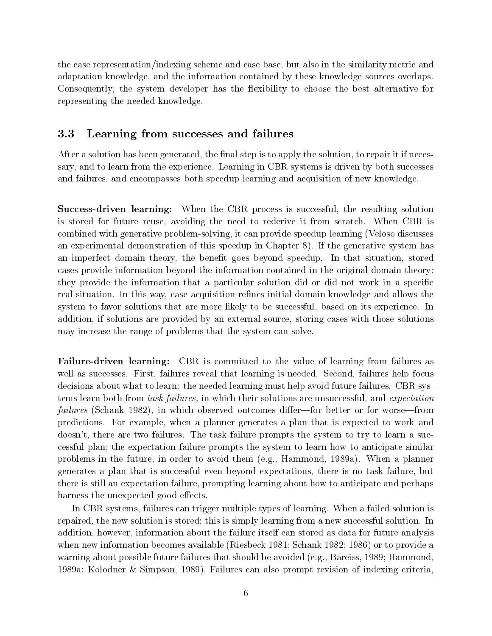the case representation/indexing scheme and case base, but also in the similarity metric and adaptation knowledge, and the information contained by these knowledge sources overlaps. Consequently, the system developer has the flexibility to choose the best alternative for representing the needed knowledge.

#### 3.3 Learning from successes and failures

After a solution has been generated, the final step is to apply the solution, to repair it if necessary, and to learn from the experience. Learning in CBR systems is driven by both successes and failures, and encompasses both speedup learning and acquisition of new knowledge.

Success-driven learning: When the CBR process is successful, the resulting solution is stored for future reuse, avoiding the need to rederive it from scratch. When CBR is combined with generative problem-solving, it can provide speedup learning (Veloso discusses an experimental demonstration of this speedup in Chapter 8). If the generative system has an imperfect domain theory, the benet goes beyond speedup. In that situation, stored cases provide information beyond the information contained in the original domain theory: they provide the information that a particular solution did or did not work in a specific real situation. In this way, case acquisition refines initial domain knowledge and allows the system to favor solutions that are more likely to be successful, based on its experience. In addition, if solutions are provided by an external source, storing cases with those solutions may increase the range of problems that the system can solve.

Failure-driven learning: CBR is committed to the value of learning from failures as well as successes. First, failures reveal that learning is needed. Second, failures help focus decisions about what to learn: the needed learning must help avoid future failures. CBR systems learn both from task failures, in which their solutions are unsuccessful, and expectation failures (Schank 1982), in which observed outcomes differ-for better or for worse-from predictions. For example, when a planner generates a plan that is expected to work and doesn't, there are two failures. The task failure prompts the system to try to learn a successful plan; the expectation failure prompts the system to learn how to anticipate similar problems in the future, in order to avoid them (e.g., Hammond, 1989a). When a planner generates a plan that is successful even beyond expectations, there is no task failure, but there is still an expectation failure, prompting learning about how to anticipate and perhaps harness the unexpected good effects.

In CBR systems, failures can trigger multiple types of learning. When a failed solution is repaired, the new solution is stored; this is simply learning from a new successful solution. In addition, however, information about the failure itself can stored as data for future analysis when new information becomes available (Riesbeck 1981; Schank 1982; 1986) or to provide a warning about possible future failures that should be avoided (e.g., Bareiss, 1989; Hammond, 1989a; Kolodner & Simpson, 1989), Failures can also prompt revision of indexing criteria,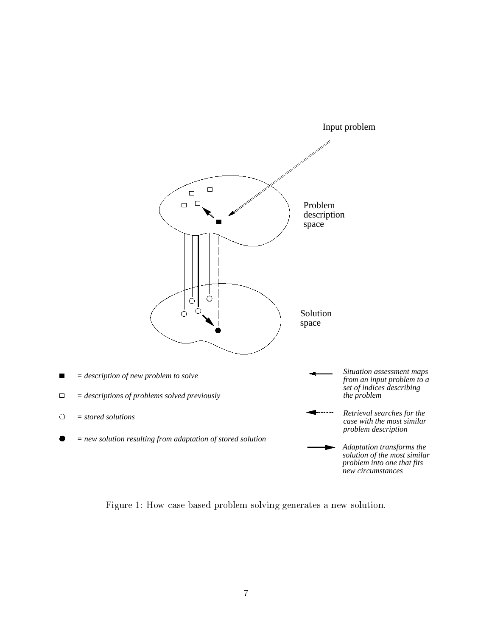

Figure 1: How case-based problem-solving generates a new solution.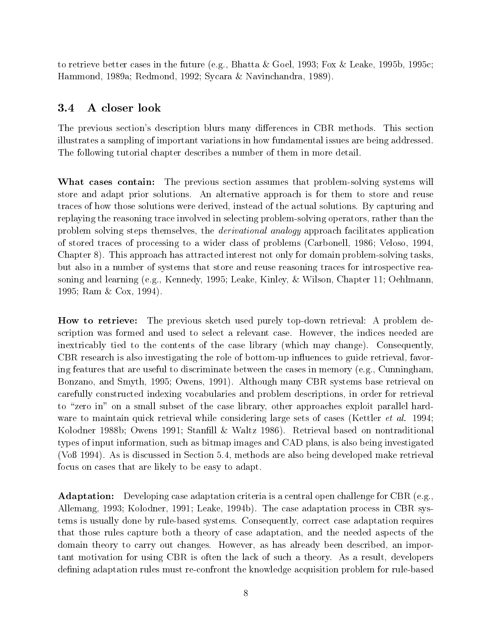to retrieve better cases in the future (e.g., Bhatta & Goel, 1993; Fox & Leake, 1995b, 1995c; Hammond, 1989a; Redmond, 1992; Sycara & Navinchandra, 1989).

### 3.4 A closer look

The previous section's description blurs many differences in CBR methods. This section illustrates a sampling of important variations in how fundamental issues are being addressed. The following tutorial chapter describes a number of them in more detail.

What cases contain: The previous section assumes that problem-solving systems will store and adapt prior solutions. An alternative approach is for them to store and reuse traces of how those solutions were derived, instead of the actual solutions. By capturing and replaying the reasoning trace involved in selecting problem-solving operators, rather than the problem solving steps themselves, the derivational analogy approach facilitates application of stored traces of processing to a wider class of problems (Carbonell, 1986; Veloso, 1994, Chapter 8). This approach has attracted interest not only for domain problem-solving tasks, but also in a number of systems that store and reuse reasoning traces for introspective reasoning and learning (e.g., Kennedy, 1995; Leake, Kinley, & Wilson,Chapter 11; Oehlmann, 1995; Ram & Cox, 1994).

How to retrieve: The previous sketch used purely top-down retrieval: A problem description was formed and used to select a relevant case. However, the indices needed are inextricably tied to the contents of the case library (which may change). Consequently, CBR research is also investigating the role of bottom-up influences to guide retrieval, favoring features that are useful to discriminate between the cases in memory (e.g., Cunningham, Bonzano, and Smyth, 1995; Owens, 1991). Although many CBR systems base retrieval on carefully constructed indexing vocabularies and problem descriptions, in order for retrieval to "zero in" on a small subset of the case library, other approaches exploit parallel hardware to maintain quick retrieval while considering large sets of cases (Kettler *et al.* 1994; Kolodner 1988b; Owens 1991; Stanfill & Waltz 1986). Retrieval based on nontraditional types of input information, such as bitmap images and CAD plans, is also being investigated (Vo $\beta$  1994). As is discussed in Section 5.4, methods are also being developed make retrieval focus on cases that are likely to be easy to adapt.

Adaptation: Developing case adaptation criteria is a central open challenge for CBR (e.g., Allemang, 1993; Kolodner, 1991; Leake, 1994b). The case adaptation process in CBR systems is usually done by rule-based systems. Consequently, correct case adaptation requires that those rules capture both a theory of case adaptation, and the needed aspects of the domain theory to carry out changes. However, as has already been described, an important motivation for using CBR is often the lack of such a theory. As a result, developers defining adaptation rules must re-confront the knowledge acquisition problem for rule-based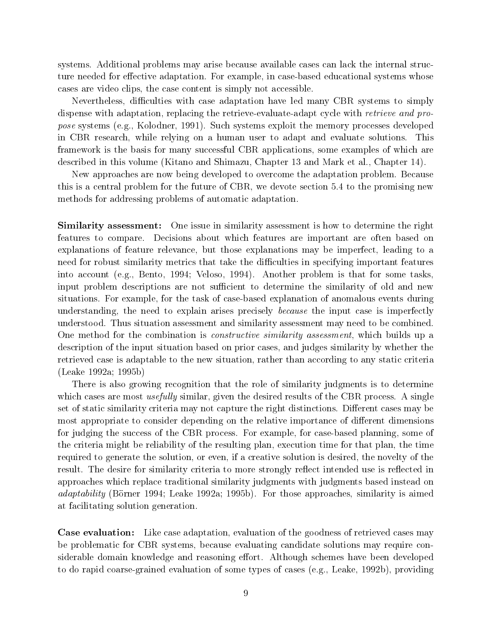systems. Additional problems may arise because available cases can lack the internal structure needed for effective adaptation. For example, in case-based educational systems whose cases are video clips, the case content is simply not accessible.

Nevertheless, difficulties with case adaptation have led many CBR systems to simply dispense with adaptation, replacing the retrieve-evaluate-adapt cycle with retrieve and propose systems (e.g., Kolodner, 1991). Such systems exploit the memory processes developed in CBR research, while relying on a human user to adapt and evaluate solutions. This framework is the basis for many successful CBR applications, some examples of which are described in this volume (Kitano and Shimazu, Chapter 13 and Mark et al., Chapter 14).

New approaches are now being developed to overcome the adaptation problem. Because this is a central problem for the future of CBR, we devote section 5.4 to the promising new methods for addressing problems of automatic adaptation.

Similarity assessment: One issue in similarity assessment is how to determine the right features to compare. Decisions about which features are important are often based on explanations of feature relevance, but those explanations may be imperfect, leading to a need for robust similarity metrics that take the difficulties in specifying important features into account (e.g., Bento, 1994; Veloso, 1994). Another problem is that for some tasks, input problem descriptions are not sufficient to determine the similarity of old and new situations. For example, for the task of case-based explanation of anomalous events during understanding, the need to explain arises precisely *because* the input case is imperfectly understood. Thus situation assessment and similarity assessment may need to be combined. One method for the combination is *constructive similarity assessment*, which builds up a description of the input situation based on prior cases, and judges similarity by whether the retrieved case is adaptable to the new situation, rather than according to any static criteria (Leake 1992a; 1995b)

There is also growing recognition that the role of similarity judgments is to determine which cases are most *usefully* similar, given the desired results of the CBR process. A single set of static similarity criteria may not capture the right distinctions. Different cases may be most appropriate to consider depending on the relative importance of different dimensions for judging the success of the CBR process. For example, for case-based planning, some of the criteria might be reliability of the resulting plan, execution time for that plan, the time required to generate the solution, or even, if a creative solution is desired, the novelty of the result. The desire for similarity criteria to more strongly reflect intended use is reflected in approaches which replace traditional similarity judgments with judgments based instead on adaptability (Börner 1994; Leake 1992a; 1995b). For those approaches, similarity is aimed at facilitating solution generation.

Case evaluation: Like case adaptation, evaluation of the goodness of retrieved cases may be problematic for CBR systems, because evaluating candidate solutions may require considerable domain knowledge and reasoning effort. Although schemes have been developed to do rapid coarse-grained evaluation of some types of cases (e.g., Leake, 1992b), providing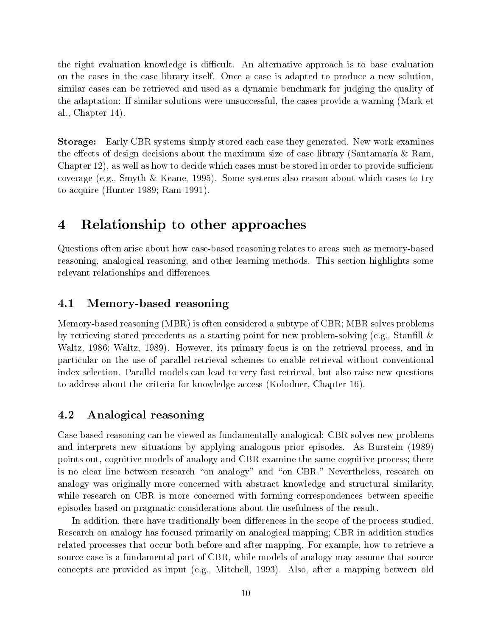the right evaluation knowledge is difficult. An alternative approach is to base evaluation on the cases in the case library itself. Once a case is adapted to produce a new solution, similar cases can be retrieved and used asa dynamic benchmark for judging the quality of the adaptation: If similar solutions were unsuccessful, the cases provide a warning (Mark et al., Chapter 14).

Storage: Early CBR systems simply stored each case they generated. New work examines the effects of design decisions about the maximum size of case library (Santamaría & Ram, Chapter 12), as well as how to decide which cases must be stored in order to provide sufficient coverage (e.g., Smyth & Keane, 1995). Some systems also reason about which cases to try to acquire (Hunter 1989; Ram 1991).

# 4 Relationship to other approaches

Questions often arise about how case-based reasoning relates to areas such as memory-based reasoning, analogical reasoning, and other learning methods. This section highlights some relevant relationships and differences.

#### 4.1 Memory-based reasoning

Memory-based reasoning (MBR) is often considered a subtype of CBR; MBR solves problems by retrieving stored precedents as a starting point for new problem-solving (e.g., Stanfill  $\&$ Waltz, 1986; Waltz, 1989). However, its primary focus is on the retrieval process, and in particular on the use of parallel retrieval schemes to enable retrieval without conventional index selection. Parallel models can lead to very fast retrieval, but also raise new questions to address about the criteria for knowledge access (Kolodner, Chapter 16).

#### 4.2 Analogical reasoning

Case-based reasoning can be viewed as fundamentally analogical: CBR solves new problems and interprets new situations by applying analogous prior episodes. As Burstein (1989) points out, cognitive models of analogy and CBR examine the same cognitive process; there is no clear line between research "on analogy" and "on CBR." Nevertheless, research on analogy was originally more concerned with abstract knowledge and structural similarity, while research on CBR is more concerned with forming correspondences between specific episodes based on pragmatic considerations about the usefulness of the result.

In addition, there have traditionally been differences in the scope of the process studied. Research on analogy has focused primarily on analogical mapping; CBR in addition studies related processes that occur both before and after mapping. For example, how to retrieve a source case is a fundamental part of CBR, while models of analogy may assume that source concepts are provided as input (e.g., Mitchell, 1993). Also, after a mapping between old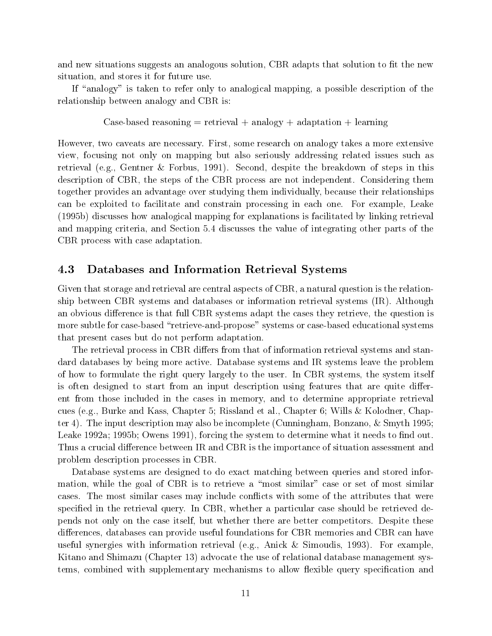and new situations suggests an analogous solution, CBR adapts that solution to fit the new situation, and stores it for future use.

If "analogy" is taken to refer only to analogical mapping, a possible description of the relationship between analogy and CBR is:

Case-based reasoning = retrieval + analogy + adaptation + learning

However, two caveats are necessary. First, some research on analogy takes a more extensive view, focusing not only on mapping but also seriously addressing related issues such as retrieval (e.g., Gentner & Forbus,1991). Second, despite the breakdown of steps in this description of CBR, the steps of the CBR process are not independent. Considering them together provides an advantage over studying them individually, because their relationships can be exploited to facilitate and constrain processing in each one. For example, Leake (1995b) discusses how analogical mapping for explanations is facilitated by linking retrieval and mapping criteria, and Section 5.4 discusses the value of integrating other parts of the CBR process with case adaptation.

#### 4.3 Databases and Information Retrieval Systems

Given that storage and retrieval are central aspects of CBR, a natural question is the relationship between CBR systems and databases or information retrieval systems (IR). Although an obvious difference is that full CBR systems adapt the cases they retrieve, the question is more subtle for case-based "retrieve-and-propose" systems or case-based educational systems that present cases but do not perform adaptation.

The retrieval process in CBR differs from that of information retrieval systems and standard databases by being more active. Database systems and IR systems leave the problem of how to formulate the right query largely to the user. In CBR systems, the system itself is often designed to start from an input description using features that are quite different from those included in the cases in memory, and to determine appropriate retrieval cues (e.g., Burke and Kass, Chapter 5; Rissland et al., Chapter 6; Wills & Kolodner, Chapter 4). The input description may also be incomplete (Cunningham, Bonzano, & Smyth 1995; Leake 1992a; 1995b; Owens 1991), forcing the system to determine what it needs to find out. Thus a crucial difference between IR and CBR is the importance of situation assessment and problem description processes in CBR.

Database systems are designed to do exact matching between queries and stored information, while the goal of CBR is to retrieve a "most similar" case or set of most similar cases. The most similar cases may include conflicts with some of the attributes that were specified in the retrieval query. In CBR, whether a particular case should be retrieved depends not only on the case itself, but whether there are better competitors. Despite these differences, databases can provide useful foundations for CBR memories and CBR can have useful synergies with information retrieval (e.g., Anick & Simoudis, 1993). For example, Kitano and Shimazu (Chapter 13) advocate the use of relational database management systems, combined with supplementary mechanisms to allow flexible query specification and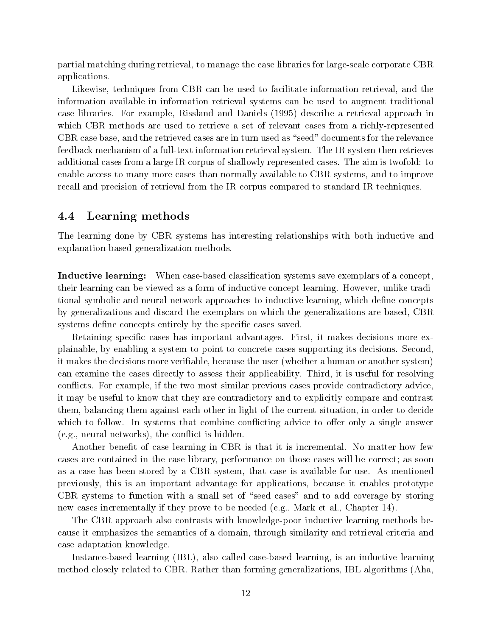partial matching during retrieval, to manage the case libraries for large-scale corporate CBR applications.

Likewise, techniques from CBR can be used to facilitate information retrieval, and the information available in information retrieval systems can be used to augment traditional case libraries. For example, Rissland and Daniels (1995) describe a retrieval approach in which CBR methods are used to retrieve a set of relevant cases from a richly-represented CBR case base, and the retrieved cases are in turn used as "seed" documents for the relevance feedback mechanism of a full-text information retrieval system. The IR system then retrieves additional cases from a large IR corpus of shallowly represented cases. The aim is twofold: to enable access to many more cases than normally available to CBR systems, and to improve recall and precision of retrieval from the IR corpus compared to standard IR techniques.

#### 4.4 Learning methods

The learning done by CBR systems has interesting relationships with both inductive and explanation-based generalization methods.

Inductive learning: When case-based classication systems save exemplars of a concept, their learning can be viewed as a form of inductive concept learning. However, unlike traditional symbolic and neural network approaches to inductive learning, which define concepts by generalizations and discard the exemplars on which the generalizations are based, CBR systems define concepts entirely by the specific cases saved.

Retaining specific cases has important advantages. First, it makes decisions more explainable, by enabling a system to point to concrete cases supporting its decisions. Second, it makes the decisions more veriable, because the user (whether a human or another system) can examine the cases directly to assess their applicability. Third, it is useful for resolving con
icts. For example, if the two most similar previous cases provide contradictory advice, it may be useful to know that they are contradictory and to explicitly compare and contrast them, balancing them against each other in light of the current situation, in order to decide which to follow. In systems that combine conflicting advice to offer only a single answer (e.g., neural networks), the con
ict is hidden.

Another benefit of case learning in CBR is that it is incremental. No matter how few cases are contained in the case library, performance on those cases will be correct; as soon as a case has been stored by a CBR system, that case is available for use. As mentioned previously, this is an important advantage for applications, because it enables prototype CBR systems to function with a small set of "seed cases" and to add coverage by storing new cases incrementally if they prove to be needed (e.g., Mark et al., Chapter 14).

The CBR approach also contrasts with knowledge-poor inductive learning methods because it emphasizes the semantics of a domain, through similarity and retrieval criteria and case adaptation knowledge.

Instance-based learning (IBL), also called case-based learning, is an inductive learning method closely related to CBR. Rather than forming generalizations, IBL algorithms (Aha,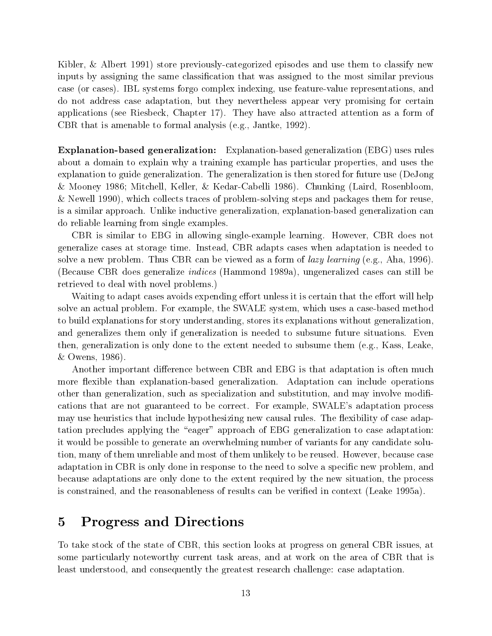Kibler, & Albert 1991) store previously-categorized episodes and use them to classify new inputs by assigning the same classification that was assigned to the most similar previous case (or cases). IBL systems forgo complex indexing, use feature-value representations, and do not address case adaptation, but they nevertheless appear very promising for certain applications (see Riesbeck, Chapter 17). They have also attracted attention as a form of CBR that is amenable to formal analysis (e.g., Jantke, 1992).

Explanation-based generalization: Explanation-based generalization (EBG) uses rules about a domain to explain why a training example has particular properties, and uses the explanation to guide generalization. The generalization is then stored for future use (DeJong & Mooney 1986; Mitchell, Keller, & Kedar-Cabelli 1986). Chunking (Laird, Rosenbloom, & Newell 1990), which collects traces of problem-solving steps and packages them for reuse, is a similar approach. Unlike inductive generalization, explanation-based generalization can do reliable learning from single examples.

CBR is similar to EBG in allowing single-example learning. However, CBR does not generalize cases at storage time. Instead, CBR adapts cases when adaptation is needed to solve a new problem. Thus CBR can be viewed as a form of *lazy learning* (e.g., Aha, 1996). (Because CBR does generalize indices (Hammond 1989a), ungeneralized cases can still be retrieved to deal with novel problems.)

Waiting to adapt cases avoids expending effort unless it is certain that the effort will help solve an actual problem. For example, the SWALE system, which uses a case-based method to build explanations for story understanding, stores its explanations without generalization, and generalizes them only if generalization is needed to subsume future situations. Even then, generalization is only done to the extent needed to subsume them (e.g., Kass, Leake, & Owens, 1986).

Another important difference between CBR and EBG is that adaptation is often much more flexible than explanation-based generalization. Adaptation can include operations other than generalization, such as specialization and substitution, and may involve modi cations that are not guaranteed to be correct. For example, SWALE's adaptation process may use heuristics that include hypothesizing new causal rules. The flexibility of case adaptation precludes applying the "eager" approach of EBG generalization to case adaptation: it would be possible to generate an overwhelming number of variants for any candidate solution, many of them unreliable and most of them unlikely to be reused. However, because case adaptation in CBR is only done in response to the need to solve a specific new problem, and because adaptations are only done to the extent required by the new situation, the process is constrained, and the reasonableness of results can be veried in context (Leake 1995a).

# 5 Progress and Directions

To take stock of the state of CBR, this section looks at progress on general CBR issues, at some particularly noteworthy current task areas, and at work on the area of CBR that is least understood, and consequently the greatest research challenge: case adaptation.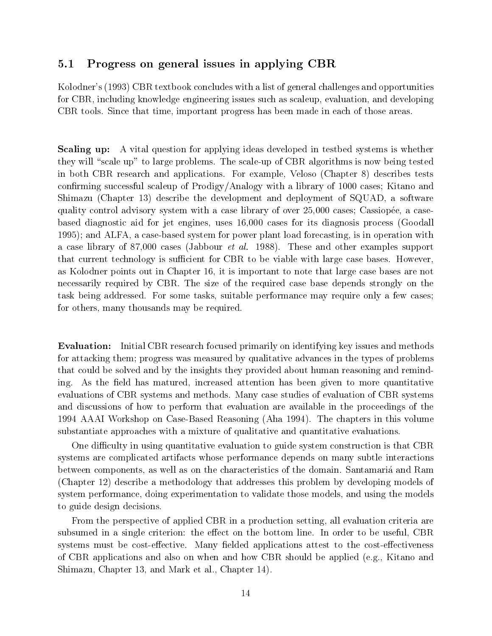#### 5.1 Progress on general issues in applying CBR

Kolodner's (1993) CBR textbook concludes with a list of general challenges and opportunities for CBR, including knowledge engineering issues such as scaleup, evaluation, and developing CBR tools. Since that time, important progress has been made in each of those areas.

Scaling up: A vital question for applying ideas developed in testbed systems is whether they will "scale up" to large problems. The scale-up of CBR algorithms is now being tested in both CBR research and applications. For example, Veloso (Chapter 8) describes tests confirming successful scaleup of Prodigy/Analogy with a library of 1000 cases; Kitano and Shimazu (Chapter 13) describe the development and deployment of SQUAD, a software quality control advisory system with a case library of over 25,000 cases; Cassiopee, a casebased diagnostic aid for jet engines, uses 16,000 cases for its diagnosis process (Goodall 1995); and ALFA, a case-based system for power plant load forecasting, is in operation with a case library of 87,000 cases (Jabbour et al. 1988). These and other examples support that current technology is sufficient for CBR to be viable with large case bases. However, as Kolodner points out in Chapter 16, it is important to note that large case bases are not necessarily required by CBR. The size of the required case base depends strongly on the task being addressed. For some tasks, suitable performance may require only a few cases; for others, many thousands may be required.

Evaluation: Initial CBR research focused primarily on identifying key issues and methods for attacking them; progress was measured by qualitative advances in the types of problems that could be solved and by the insights they provided about human reasoning and reminding. As the field has matured, increased attention has been given to more quantitative evaluations of CBR systems and methods. Many case studies of evaluation of CBR systems and discussions of how to perform that evaluation are available in the proceedings of the 1994 AAAI Workshop on Case-Based Reasoning (Aha 1994). The chapters in this volume substantiate approaches with a mixture of qualitative and quantitative evaluations.

One difficulty in using quantitative evaluation to guide system construction is that CBR systems are complicated artifacts whose performance depends on many subtle interactions between components, as well as on the characteristics of the domain. Santamaria and Ram (Chapter 12) describe a methodology that addresses this problem by developing models of system performance, doing experimentation to validate those models, and using the models to guide design decisions.

From the perspective of applied CBR in a production setting, all evaluation criteria are subsumed in a single criterion: the effect on the bottom line. In order to be useful, CBR systems must be cost-effective. Many fielded applications attest to the cost-effectiveness of CBR applications and also on when and how CBR should be applied (e.g., Kitano and Shimazu, Chapter 13, and Mark et al., Chapter 14).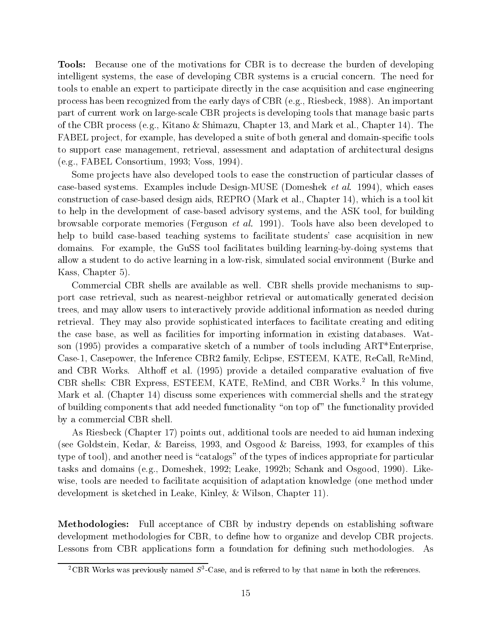Tools: Because one of the motivations for CBR is to decrease the burden of developing intelligent systems, the ease of developing CBR systems is a crucial concern. The need for tools to enable an expert to participate directly in the case acquisition and case engineering process has been recognized from the early days of CBR (e.g., Riesbeck, 1988). An important part of current work on large-scale CBR projects is developing tools that manage basic parts of the CBR process (e.g., Kitano & Shimazu, Chapter 13, and Mark et al., Chapter 14). The FABEL project, for example, has developed a suite of both general and domain-specific tools to support case management, retrieval, assessment and adaptation of architectural designs (e.g., FABEL Consortium, 1993; Voss, 1994).

Some projects have also developed tools to ease the construction of particular classes of case-based systems. Examples include Design-MUSE (Domeshek et al. 1994), which eases construction of case-based design aids, REPRO (Mark et al., Chapter 14), which is a tool kit to help in the development of case-based advisory systems, and the ASK tool, for building browsable corporate memories (Ferguson et al. 1991). Tools have also been developed to help to build case-based teaching systems to facilitate students' case acquisition in new domains. For example, the GuSS tool facilitates building learning-by-doing systems that allow a student to do active learning in a low-risk, simulated social environment (Burke and Kass, Chapter 5).

Commercial CBR shells are available as well. CBR shells provide mechanisms to support case retrieval, such as nearest-neighbor retrieval or automatically generated decision trees, and may allow users to interactively provide additional information as needed during retrieval. They may also provide sophisticated interfaces to facilitate creating and editing the case base, as well as facilities for importing information in existing databases. Watson (1995) provides a comparative sketch of a number of tools including ART\*Enterprise, Case-1, Casepower, the Inference CBR2 family, Eclipse, ESTEEM, KATE, ReCall, ReMind, and CBR Works. Althoff et al. (1995) provide a detailed comparative evaluation of five CBR shells: CBR Express, ESTEEM, KATE, ReMind, and CBR Works.<sup>2</sup> In this volume, Mark et al. (Chapter 14) discuss some experiences with commercial shells and the strategy of building components that add needed functionality "on top of" the functionality provided by a commercial CBR shell.

As Riesbeck (Chapter 17) points out, additional tools are needed to aid human indexing (see Goldstein, Kedar, & Bareiss, 1993, and Osgood & Bareiss, 1993, for examples of this type of tool), and another need is "catalogs" of the types of indices appropriate for particular tasks and domains (e.g., Domeshek, 1992; Leake, 1992b; Schank and Osgood, 1990). Likewise, tools are needed to facilitate acquisition of adaptation knowledge (one method under development is sketched in Leake, Kinley, & Wilson, Chapter 11).

Methodologies: Full acceptance of CBR by industry depends on establishing software development methodologies for CBR, to define how to organize and develop CBR projects. Lessons from CBR applications form a foundation for defining such methodologies. As

 $\Box$  CDR WORKS was previously named  $S$  -Case, and is referred to by that name in both the references.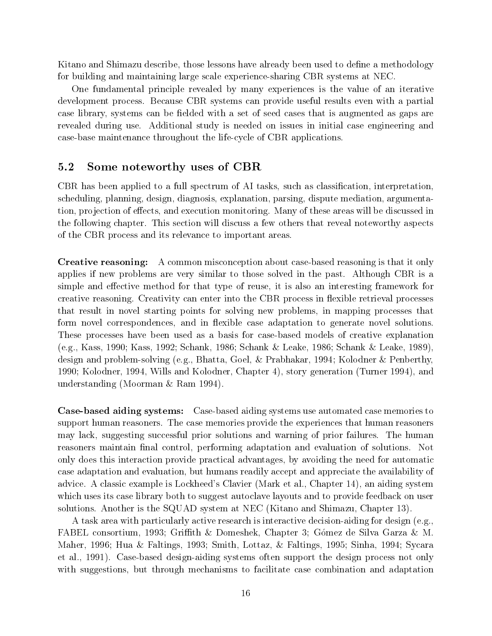Kitano and Shimazu describe, those lessons have already been used to define a methodology for building and maintaining large scale experience-sharing CBR systems at NEC.

One fundamental principle revealed by many experiences is the value of an iterative development process. Because CBR systems can provide useful results even with a partial case library, systems can be fielded with a set of seed cases that is augmented as gaps are revealed during use. Additional study is needed on issues in initial case engineering and case-base maintenance throughout the life-cycle of CBR applications.

#### 5.2 Some noteworthy uses of CBR

CBR has been applied to a full spectrum of AI tasks, such as classification, interpretation. scheduling, planning, design, diagnosis, explanation, parsing, dispute mediation, argumentation, projection of effects, and execution monitoring. Many of these areas will be discussed in the following chapter. This section will discuss a few others that reveal noteworthy aspects of the CBR process and its relevance to important areas.

Creative reasoning: A common misconception about case-based reasoning is that it only applies if new problems are very similar to those solved in the past. Although CBR is a simple and effective method for that type of reuse, it is also an interesting framework for creative reasoning. Creativity can enter into the CBR process in flexible retrieval processes that result in novel starting points for solving new problems, in mapping processes that form novel correspondences, and in flexible case adaptation to generate novel solutions. These processes have been used as a basis for case-based models of creative explanation (e.g., Kass, 1990; Kass, 1992; Schank, 1986; Schank & Leake, 1986; Schank & Leake, 1989), design and problem-solving (e.g., Bhatta, Goel, & Prabhakar, 1994; Kolodner & Penberthy, 1990; Kolodner, 1994, Wills and Kolodner, Chapter 4), story generation (Turner 1994), and understanding (Moorman & Ram 1994).

Case-based aiding systems: Case-based aiding systems use automated case memories to support human reasoners. The case memories provide the experiences that human reasoners may lack, suggesting successful prior solutions and warning of prior failures. The human reasoners maintain final control, performing adaptation and evaluation of solutions. Not only does this interaction provide practical advantages, by avoiding the need for automatic case adaptation and evaluation, but humans readily accept and appreciate the availability of advice. A classic example is Lockheed's Clavier (Mark et al., Chapter 14), an aiding system which uses its case library both to suggest autoclave layouts and to provide feedback on user solutions. Another is the SQUAD system at NEC (Kitano and Shimazu, Chapter 13).

A task area with particularly active research is interactive decision-aiding for design (e.g., FABEL consortium, 1993; Griffith & Domeshek, Chapter 3; Gómez de Silva Garza & M. Maher, 1996; Hua & Faltings, 1993; Smith, Lottaz, & Faltings, 1995; Sinha, 1994; Sycara et al., 1991). Case-based design-aiding systems often support the design process not only with suggestions, but through mechanisms to facilitate case combination and adaptation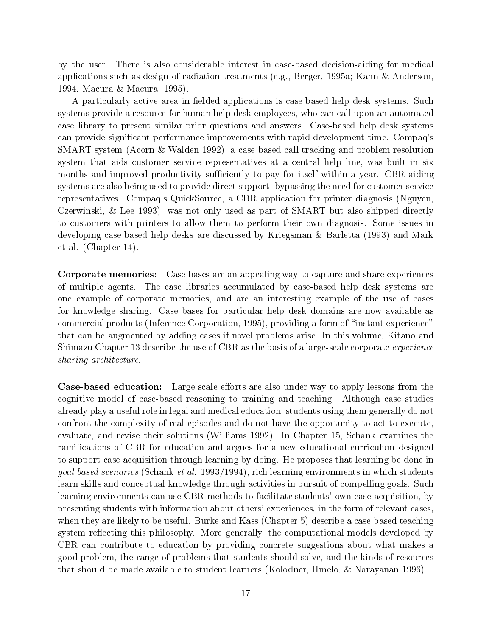by the user. There is also considerable interest in case-based decision-aiding for medical applications such as design of radiation treatments (e.g., Berger, 1995a; Kahn & Anderson, 1994, Macura & Macura, 1995).

A particularly active area in fielded applications is case-based help desk systems. Such systems provide a resource for human help desk employees, who can call upon an automated case library to present similar prior questions and answers. Case-based help desk systems can provide signicant performance improvements with rapid development time. Compaq's SMART system (Acorn & Walden 1992), a case-based call tracking and problem resolution system that aids customer service representatives at a central help line, was built in six months and improved productivity sufficiently to pay for itself within a year. CBR aiding systems are also being used to provide direct support, bypassing the need for customer service representatives. Compaq's QuickSource, a CBR application for printer diagnosis (Nguyen, Czerwinski, & Lee 1993), was not only used as part of SMART but also shipped directly to customers with printers to allow them to perform their own diagnosis. Some issues in developing case-based help desks are discussed by Kriegsman & Barletta (1993) and Mark et al. (Chapter 14).

Corporate memories: Case bases are an appealing way to capture and share experiences of multiple agents. The case libraries accumulated by case-based help desk systems are one example of corporate memories, and are an interesting example of the use of cases for knowledge sharing. Case bases for particular help desk domains are now available as commercial products (Inference Corporation, 1995), providing a form of \instant experience" that can be augmented by adding cases if novel problems arise. In this volume, Kitano and Shimazu Chapter 13 describe the use of CBR as the basis of a large-scale corporate experience sharing architecture.

**Case-based education:** Large-scale efforts are also under way to apply lessons from the cognitive model of case-based reasoning to training and teaching. Although case studies already play a useful role in legal and medical education, students using them generally do not confront the complexity of real episodes and do not have the opportunity to act to execute, evaluate, and revise their solutions (Williams 1992). In Chapter 15, Schank examines the ramications of CBR for education and argues for a new educational curriculum designed to support case acquisition through learning by doing. He proposes that learning be done in goal-based scenarios (Schank et al. 1993/1994), rich learning environments in which students learn skills and conceptual knowledge through activities in pursuit of compelling goals. Such learning environments can use CBR methods to facilitate students' own case acquisition, by presenting students with information about others' experiences, in the form of relevant cases, when they are likely to be useful. Burke and Kass (Chapter 5) describe a case-based teaching system reflecting this philosophy. More generally, the computational models developed by CBR can contribute to education by providing concrete suggestions about what makes a good problem, the range of problems that students should solve, and the kinds of resources that should be made available to student learners (Kolodner, Hmelo, & Narayanan 1996).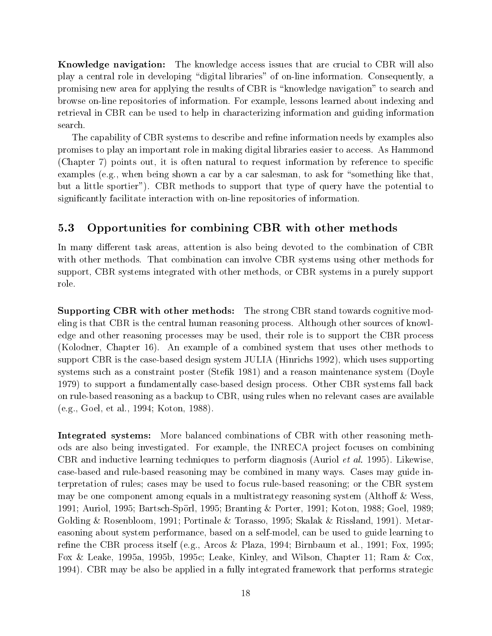Knowledge navigation: The knowledge access issues that are crucial to CBR will also play a central role in developing \digital libraries" of on-line information. Consequently, a promising new area for applying the results of CBR is \knowledge navigation" to search and browse on-line repositories of information. For example, lessons learned about indexing and retrieval in CBR can be used to help in characterizing information and guiding information search.

The capability of CBR systems to describe and refine information needs by examples also promises to play an important role in making digital libraries easier to access. As Hammond (Chapter 7) points out, it is often natural to request information by reference to specific examples (e.g., when being shown a car by a car salesman, to ask for "something like that, but a little sportier"). CBR methods to support that type of query have the potential to signicantly facilitate interaction with on-line repositories of information.

### 5.3 Opportunities for combining CBR with other methods

In many different task areas, attention is also being devoted to the combination of CBR with other methods. That combination can involve CBR systems using other methods for support, CBR systems integrated with other methods, or CBR systems in a purely support role.

Supporting CBR with other methods: The strong CBR stand towards cognitive modeling is that CBR is the central human reasoning process. Although other sources of knowledge and other reasoning processes may be used, their role is to support the CBR process (Kolodner, Chapter 16). An example of a combined system that uses other methods to support CBR is the case-based design system JULIA (Hinrichs 1992), which uses supporting systems such as a constraint poster (Stefik 1981) and a reason maintenance system (Doyle 1979) to support a fundamentally case-based design process. Other CBR systems fall back on rule-based reasoning as a backup to CBR, using rules when no relevant cases are available (e.g., Goel, et al., 1994; Koton, 1988).

Integrated systems: More balanced combinations of CBR with other reasoning methods are also being investigated. For example, the INRECA project focuses on combining CBR and inductive learning techniques to perform diagnosis (Auriol et al. 1995). Likewise, case-based and rule-based reasoning may be combined in many ways. Cases may guide interpretation of rules; cases may be used to focus rule-based reasoning; or the CBR system may be one component among equals in a multistrategy reasoning system (Althoff  $\&$  Wess, 1991; Auriol, 1995; Bartsch-Sporl, 1995; Branting & Porter, 1991; Koton, 1988; Goel, 1989; Golding & Rosenbloom, 1991; Portinale & Torasso, 1995; Skalak & Rissland, 1991). Metareasoning about system performance, based on a self-model, can be used to guide learning to refine the CBR process itself (e.g., Arcos & Plaza, 1994; Birnbaum et al., 1991; Fox, 1995; Fox & Leake, 1995a, 1995b, 1995c; Leake, Kinley, and Wilson, Chapter 11; Ram & Cox, 1994). CBR may be also be applied in a fully integrated framework that performs strategic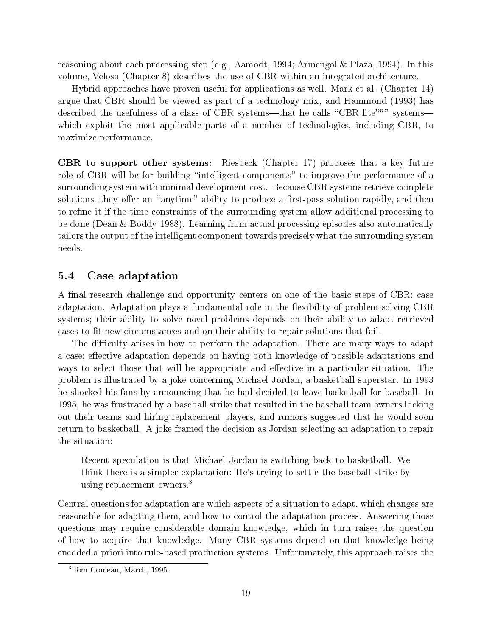reasoning about each processing step (e.g., Aamodt, 1994; Armengol & Plaza, 1994). In this volume, Veloso (Chapter 8) describes the use of CBR within an integrated architecture.

Hybrid approaches have proven useful for applications as well. Mark et al. (Chapter 14) argue that CBR should be viewed as part of a technology mix, and Hammond (1993) has described the usefulness of a class of CBR systems—that he calls "CBR-lite<sup>tm"</sup> systems which exploit the most applicable parts of a number of technologies, including CBR, to maximize performance.

CBR to support other systems: Riesbeck (Chapter 17) proposes that a key future role of CBR will be for building "intelligent components" to improve the performance of a surrounding system with minimal development cost. Because CBR systems retrieve complete solutions, they offer an "anytime" ability to produce a first-pass solution rapidly, and then to refine it if the time constraints of the surrounding system allow additional processing to be done (Dean & Boddy 1988). Learning from actual processing episodes also automatically tailors the output of the intelligent component towards precisely what the surrounding system needs.

#### $5.4$ Case adaptation

A final research challenge and opportunity centers on one of the basic steps of CBR: case adaptation. Adaptation plays a fundamental role in the flexibility of problem-solving CBR systems; their ability to solve novel problems depends on their ability to adapt retrieved cases to fit new circumstances and on their ability to repair solutions that fail.

The difficulty arises in how to perform the adaptation. There are many ways to adapt a case; effective adaptation depends on having both knowledge of possible adaptations and ways to select those that will be appropriate and effective in a particular situation. The problem is illustrated by a joke concerning Michael Jordan, a basketball superstar. In 1993 he shocked his fans by announcing that he had decided to leave basketball for baseball. In 1995, he was frustrated by a baseball strike that resulted in the baseball team owners locking out their teams and hiring replacement players, and rumors suggested that he would soon return to basketball. A joke framed the decision as Jordan selecting an adaptation to repair the situation:

Recent speculation is that Michael Jordan is switching back to basketball. We think there is a simpler explanation: He's trying to settle the baseball strike by using replacement owners.3

Central questions for adaptation are which aspects of a situation to adapt, which changes are reasonable for adapting them, and how to control the adaptation process. Answering those questions may require considerable domain knowledge, which in turn raises the question of how to acquire that knowledge. Many CBR systems depend on that knowledge being encoded a priori into rule-based production systems. Unfortunately, this approach raises the

<sup>3</sup>Tom Comeau, March, 1995.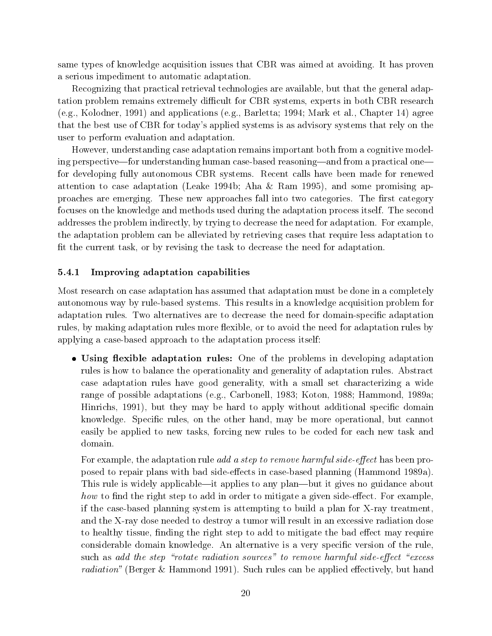same types of knowledge acquisition issues that CBR was aimed at avoiding. It has proven a serious impediment to automatic adaptation.

Recognizing that practical retrieval technologies are available, but that the general adaptation problem remains extremely difficult for CBR systems, experts in both CBR research (e.g., Kolodner, 1991) and applications (e.g., Barletta; 1994; Mark et al., Chapter 14) agree that the best use of CBR for today's applied systems is as advisory systems that rely on the user to perform evaluation and adaptation.

However, understanding case adaptation remains important both from a cognitive modeling perspective—for understanding human case-based reasoning—and from a practical one for developing fully autonomous CBR systems. Recent calls have been made for renewed attention to case adaptation (Leake 1994b; Aha & Ram 1995), and some promising approaches are emerging. These new approaches fall into two categories. The first category focuses on the knowledge and methods used during the adaptation process itself. The second addresses the problem indirectly, by trying to decrease the need for adaptation. For example, the adaptation problem can be alleviated by retrieving cases that require less adaptation to fit the current task, or by revising the task to decrease the need for adaptation.

#### 5.4.1 Improving adaptation capabilities

Most research on case adaptation has assumed that adaptation must be done in a completely autonomous way by rule-based systems. This results in a knowledge acquisition problem for adaptation rules. Two alternatives are to decrease the need for domain-specic adaptation rules, by making adaptation rules more flexible, or to avoid the need for adaptation rules by applying a case-based approach to the adaptation process itself:

 Using exible adaptation rules: One of the problems in developing adaptation rules is how to balance the operationality and generality of adaptation rules. Abstract case adaptation rules have good generality, with a small set characterizing a wide range of possible adaptations (e.g., Carbonell, 1983; Koton, 1988; Hammond, 1989a; Hinrichs, 1991), but they may be hard to apply without additional specific domain knowledge. Specific rules, on the other hand, may be more operational, but cannot easily be applied to new tasks, forcing new rules to be coded for each new task and domain.

For example, the adaptation rule *add a step to remove harmful side-effect* has been proposed to repair plans with bad side-effects in case-based planning (Hammond 1989a). This rule is widely applicable—it applies to any plan—but it gives no guidance about *how* to find the right step to add in order to mitigate a given side-effect. For example, if the case-based planning system is attempting to build a plan for X-ray treatment, and the X-ray dose needed to destroy a tumor will result in an excessive radiation dose to healthy tissue, finding the right step to add to mitigate the bad effect may require considerable domain knowledge. An alternative is a very specic version of the rule, such as add the step "rotate radiation sources" to remove harmful side-effect "excess" radiation" (Berger & Hammond 1991). Such rules can be applied effectively, but hand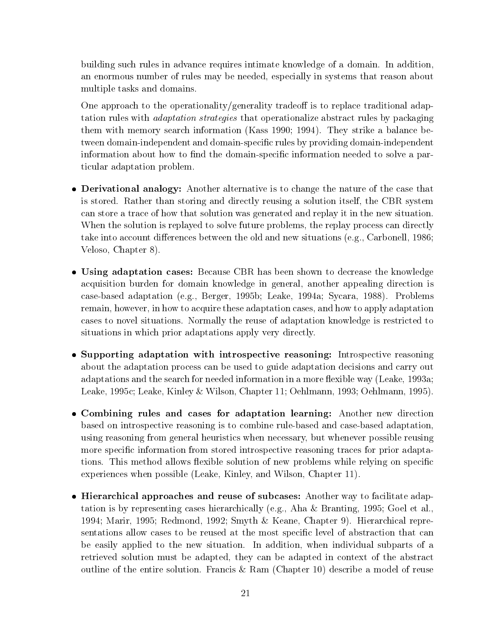building such rules in advance requires intimate knowledge of a domain. In addition, an enormous number of rules may be needed, especially in systems that reason about multiple tasks and domains.

One approach to the operationality/generality tradeoff is to replace traditional adaptation rules with adaptation strategies that operationalize abstract rules by packaging them with memory search information (Kass 1990; 1994). They strike a balance between domain-independent and domain-specific rules by providing domain-independent information about how to find the domain-specific information needed to solve a particular adaptation problem.

- Derivational analogy: Another alternative is to change the nature of the case that is stored. Rather than storing and directly reusing a solution itself, the CBR system can store a trace of how that solution was generated and replay it in the new situation. When the solution is replayed to solve future problems, the replay process can directly take into account differences between the old and new situations (e.g., Carbonell, 1986; Veloso, Chapter 8).
- Using adaptation cases: Because CBR has been shown to decrease the knowledge acquisition burden for domain knowledge in general, another appealing direction is case-based adaptation (e.g., Berger, 1995b; Leake, 1994a; Sycara, 1988). Problems remain, however, in how to acquire these adaptation cases, and how to apply adaptation cases to novel situations. Normally the reuse of adaptation knowledge is restricted to situations in which prior adaptations apply very directly.
- Supporting adaptation with introspective reasoning: Introspective reasoning about the adaptation process can be used to guide adaptation decisions and carry out adaptations and the search for needed information in a more flexible way (Leake, 1993a; Leake, 1995c; Leake, Kinley & Wilson, Chapter 11; Oehlmann, 1993; Oehlmann, 1995).
- Combining rules and cases for adaptation learning: Another new direction based on introspective reasoning is to combine rule-based and case-based adaptation, using reasoning from general heuristics when necessary, but whenever possible reusing more specic information from stored introspective reasoning traces for prior adaptations. This method allows flexible solution of new problems while relying on specific experiences when possible (Leake, Kinley, and Wilson, Chapter 11).
- Hierarchical approaches and reuse ofsubcases: Another way to facilitate adaptation is by representing cases hierarchically (e.g., Aha & Branting, 1995; Goel et al., 1994; Marir, 1995; Redmond, 1992; Smyth & Keane, Chapter 9). Hierarchical representations allow cases to be reused at the most specific level of abstraction that can be easily applied to the new situation. In addition, when individual subparts of a retrieved solution must be adapted, they can be adapted in context of the abstract outline of the entire solution. Francis & Ram (Chapter 10) describe a model of reuse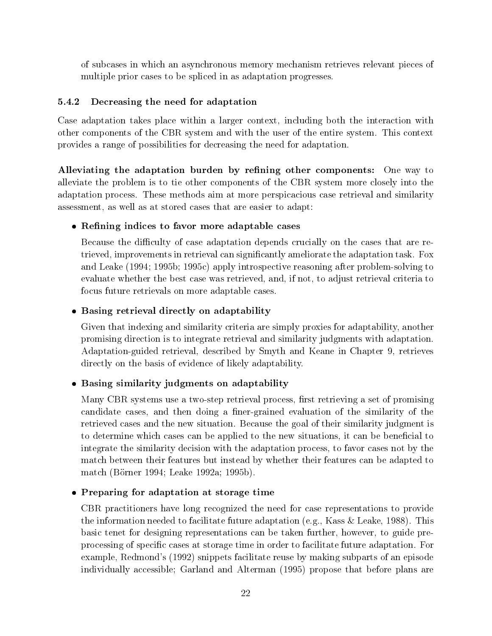of subcases in which an asynchronous memory mechanism retrieves relevant pieces of multiple prior cases to be spliced in as adaptation progresses.

#### 5.4.2 Decreasing the need for adaptation

Case adaptation takes place within a larger context, including both the interaction with other components of the CBR system and with the user of the entire system. This context provides a range of possibilities for decreasing the need for adaptation.

Alleviating the adaptation burden by refining other components: One way to alleviate the problem is to tie other components of the CBR system more closely into the adaptation process. These methods aim at more perspicacious case retrieval and similarity assessment, as well as at stored cases that are easier to adapt:

#### Rening indices to favor more adaptable cases

Because the difficulty of case adaptation depends crucially on the cases that are retrieved, improvements in retrieval can signicantly ameliorate the adaptation task. Fox and Leake (1994; 1995b; 1995c) apply introspective reasoning after problem-solving to evaluate whether the best case was retrieved, and, if not, to adjust retrieval criteria to focus future retrievals on more adaptable cases.

#### Basing retrieval directly on adaptability

Given that indexing and similarity criteria are simply proxies for adaptability, another promising direction is to integrate retrieval and similarity judgments with adaptation. Adaptation-guided retrieval, described by Smyth and Keane in Chapter 9, retrieves directly on the basis of evidence of likely adaptability.

### $\mathbf{B}$  similarity similarity judgments on a similar contract  $\mathbf{B}$

Many CBR systems use a two-step retrieval process, first retrieving a set of promising candidate cases, and then doing a finer-grained evaluation of the similarity of the retrieved cases and the new situation. Because the goal of their similarity judgment is to determine which cases can be applied to the new situations, it can be beneficial to integrate the similarity decision with the adaptation process, to favor cases not by the match between their features but instead by whether their features can be adapted to match (Börner 1994; Leake 1992a; 1995b).

### Preparing for adaptation at storage time

CBR practitioners have long recognized the need for case representations to provide the information needed to facilitate future adaptation (e.g., Kass & Leake, 1988). This basic tenet for designing representations can be taken further, however, to guide preprocessing of specic cases at storage time in order to facilitate future adaptation. For example, Redmond's (1992) snippets facilitate reuse by making subparts of an episode individually accessible; Garland and Alterman (1995) propose that before plans are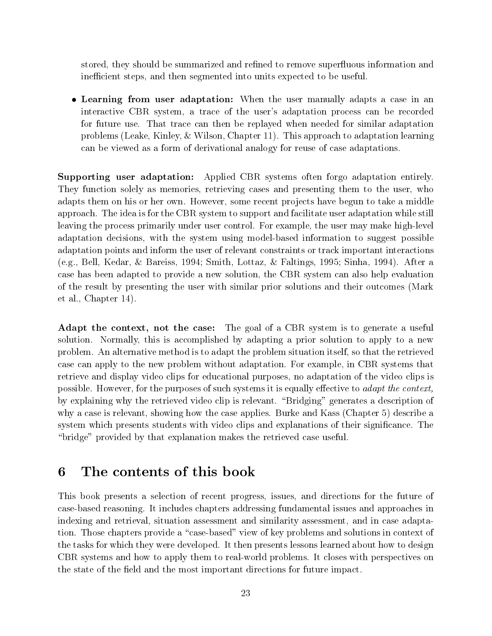stored, they should be summarized and refined to remove superfluous information and inefficient steps, and then segmented into units expected to be useful.

 Learning from user adaptation: When the user manually adapts a case in an interactive CBR system, a trace of the user's adaptation process can be recorded for future use. That trace can then be replayed when needed for similar adaptation problems (Leake, Kinley, & Wilson, Chapter 11). This approach to adaptation learning can be viewed as a form of derivational analogy for reuse of case adaptations.

Supporting user adaptation: Applied CBR systems often forgo adaptation entirely. They function solely as memories, retrieving cases and presenting them to the user, who adapts them on his or her own. However, some recent projects have begun to take a middle approach. The idea is for the CBR system to support and facilitate user adaptation while still leaving the process primarily under user control. For example, the user may make high-level adaptation decisions, with the system using model-based information to suggest possible adaptation points and inform the user of relevant constraints or track important interactions (e.g., Bell, Kedar, & Bareiss, 1994; Smith, Lottaz, & Faltings, 1995; Sinha, 1994). After a case has been adapted to provide a new solution, the CBR system can also help evaluation of the result by presenting the user with similar prior solutions and their outcomes (Mark et al., Chapter 14).

Adapt the context, not the case: The goal of a CBR system is to generate a useful solution. Normally, this is accomplished by adapting a prior solution to apply to a new problem. An alternative method is to adapt the problem situation itself, so that the retrieved case can apply to the new problem without adaptation. For example, in CBR systems that retrieve and display video clips for educational purposes, no adaptation of the video clips is possible. However, for the purposes of such systems it is equally effective to *adapt the context*, by explaining why the retrieved video clip is relevant. "Bridging" generates a description of why a case is relevant, showing how the case applies. Burke and Kass (Chapter 5) describe a system which presents students with video clips and explanations of their signicance. The "bridge" provided by that explanation makes the retrieved case useful.

#### The contents of this book 6

This book presents a selection of recent progress, issues, and directions for the future of case-based reasoning. It includes chapters addressing fundamental issues and approaches in indexing and retrieval, situation assessment and similarity assessment, and in case adaptation. Those chapters provide a \case-based" view of key problems and solutions in context of the tasks for which they were developed. It then presents lessons learned about how to design CBR systems and how to apply them to real-world problems. It closes with perspectives on the state of the field and the most important directions for future impact.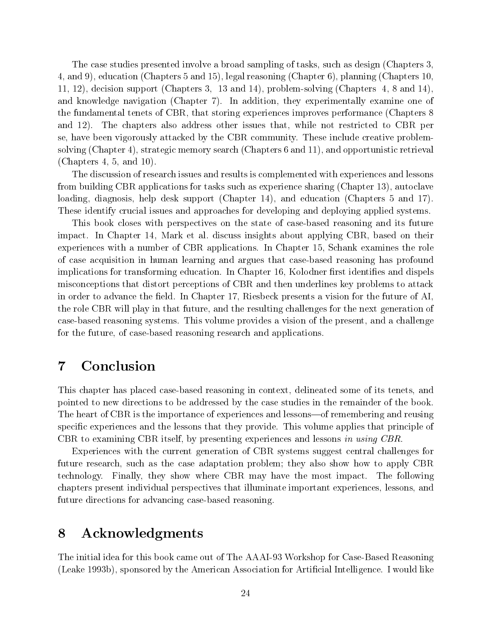The case studies presented involve a broad sampling of tasks, such as design (Chapters 3, 4, and 9), education (Chapters 5 and 15), legal reasoning (Chapter 6), planning (Chapters 10, 11, 12), decision support (Chapters 3, 13 and 14), problem-solving (Chapters 4, 8 and 14), and knowledge navigation (Chapter 7). In addition, they experimentally examine one of the fundamental tenets of CBR, that storing experiences improves performance (Chapters 8 and 12). The chapters also address other issues that, while not restricted to CBR per se, have been vigorously attacked by the CBR community. These include creative problemsolving (Chapter 4), strategic memory search (Chapters 6 and 11), and opportunistic retrieval (Chapters 4, 5, and 10).

The discussion of research issues and results is complemented with experiences and lessons from building CBR applications for tasks such as experience sharing (Chapter 13), autoclave loading, diagnosis, help desk support (Chapter 14), and education (Chapters 5 and 17). These identify crucial issues and approaches for developing and deploying applied systems.

This book closes with perspectives on the state of case-based reasoning and its future impact. In Chapter 14, Mark et al. discuss insights about applying CBR, based on their experiences with a number of CBR applications. In Chapter 15, Schank examines the role of case acquisition in human learning and argues that case-based reasoning has profound implications for transforming education. In Chapter 16, Kolodner first identifies and dispels misconceptions that distort perceptions of CBR and then underlines key problems to attack in order to advance the field. In Chapter 17, Riesbeck presents a vision for the future of AI, the role CBR will play in that future, and the resulting challenges for the next generation of case-based reasoning systems. This volume provides a vision of the present, and a challenge for the future, of case-based reasoning research and applications.

# 7 Conclusion

This chapter has placed case-based reasoning in context, delineated some of its tenets, and pointed to new directions to be addressed by the case studies in the remainder of the book. The heart of CBR is the importance of experiences and lessons—of remembering and reusing specific experiences and the lessons that they provide. This volume applies that principle of CBR to examining CBR itself, by presenting experiences and lessons in using CBR.

Experiences with the current generation of CBR systems suggest central challenges for future research, such as the case adaptation problem; they also show how to apply CBR technology. Finally, they show where CBR may have the most impact. The following chapters present individual perspectives that illuminate important experiences, lessons, and future directions for advancing case-based reasoning.

# 8 Acknowledgments

The initial idea for this book came out of The AAAI-93 Workshop for Case-Based Reasoning (Leake 1993b), sponsored by the American Association for Artificial Intelligence. I would like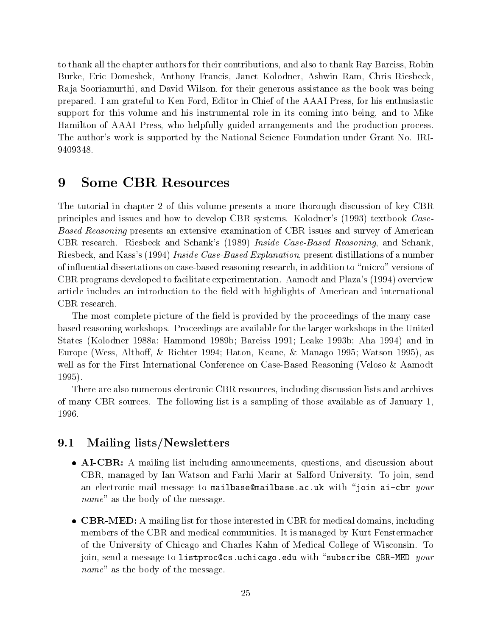to thank all the chapter authors for their contributions, and also to thank Ray Bareiss, Robin Burke, Eric Domeshek, Anthony Francis, Janet Kolodner, Ashwin Ram, Chris Riesbeck, Ra ja Sooriamurthi, and David Wilson, for their generous assistance as the book was being prepared. I am grateful to Ken Ford, Editor in Chief of the AAAI Press, for his enthusiastic support for this volume and his instrumental role in its coming into being, and to Mike Hamilton of AAAI Press, who helpfully guided arrangements and the production process. The author's work is supported by the National Science Foundation under Grant No. IRI-9409348.

# 9 Some CBR Resources

The tutorial in chapter 2 of this volume presents a more thorough discussion of key CBR principles and issues and how to develop CBR systems. Kolodner's (1993) textbook Case-Based Reasoning presents an extensive examination of CBR issues and survey of American CBR research. Riesbeck and Schank's (1989) Inside Case-Based Reasoning, and Schank, Riesbeck, and Kass's (1994) Inside Case-Based Explanation, present distillations of a number of influential dissertations on case-based reasoning research, in addition to "micro" versions of CBR programs developed to facilitate experimentation. Aamodt and Plaza's (1994) overview article includes an introduction to the field with highlights of American and international CBR research.

The most complete picture of the field is provided by the proceedings of the many casebased reasoning workshops. Proceedings are available for the larger workshops in the United States (Kolodner 1988a; Hammond 1989b; Bareiss 1991; Leake 1993b; Aha 1994) and in Europe (Wess, Althoff, & Richter 1994; Haton, Keane, & Manago 1995; Watson 1995), as well as for the First International Conference on Case-Based Reasoning (Veloso & Aamodt 1995).

There are also numerous electronic CBR resources, including discussion lists and archives of many CBR sources. The following list is a sampling of those available as of January 1, 1996.

### 9.1 Mailing lists/Newsletters

- AI-CBR: A mailing list including announcements, questions, and discussion about CBR, managed by Ian Watson and Farhi Marir at Salford University. To join, send an electronic mail message to mailbase@mailbase.ac.uk with "join ai-cbr your name" as the body of the message.
- CBR-MED: A mailing list for those interested in CBR for medical domains, including members of the CBR and medical communities. It is managed by Kurt Fenstermacher of the University of Chicago and Charles Kahn of Medical College of Wisconsin. To join, send a message to listproc@cs.uchicago.edu with "subscribe CBR-MED your name" as the body of the message.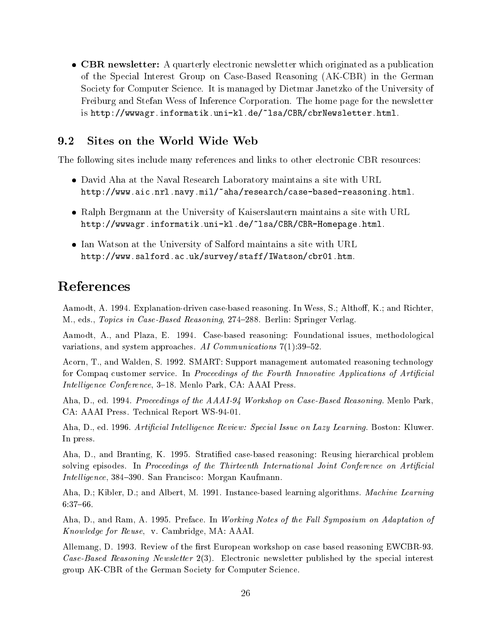car newsletter: A quarterly electronic newsletter which originated as a publication or  $\alpha$ of the Special Interest Group on Case-Based Reasoning (AK-CBR) in the German Society for Computer Science. It is managed by Dietmar Janetzko of the University of Freiburg and Stefan Wess of Inference Corporation. The home page for the newsletter is http://wwwagr.informatik.uni-kl.de/~lsa/CBR/cbrNewsletter.html.

#### $9.2$ Sites on the World Wide Web

The following sites include many references and links to other electronic CBR resources:

- David Aha at the Naval Research Laboratory maintains a site with URL http://www.aic.nrl.navy.mil/~aha/research/case-based-reasoning.html.
- Ralph Bergmann at the University of Linux and Theorem maintains a site with URL URL URL URL URL URL URL URL URL http://wwwagr.informatik.uni-kl.de/~lsa/CBR/CBR-Homepage.html.
- Ian Watson at the University of Salford maintains a site with URL URL UNIVERSITY http://www.salford.ac.uk/survey/staff/IWatson/cbr01.htm.

# References

Aamodt, A. 1994. Explanation-driven case-based reasoning. In Wess, S.; Althoff, K.; and Richter, M., eds., Topics in Case-Based Reasoning, 274–288. Berlin: Springer Verlag.

Aamodt, A., and Plaza, E. 1994. Case-based reasoning: Foundational issues, methodological variations, and system approaches. AI Communications  $7(1):39-52$ .

Acorn, T., and Walden, S. 1992. SMART: Support management automated reasoning technology for Compaq customer service. In Proceedings of the Fourth Innovative Applications of Artificial Intelligence Conference, 3-18. Menlo Park, CA: AAAI Press.

Aha, D., ed. 1994. Proceedings of the AAAI-94 Workshop on Case-Based Reasoning. Menlo Park, CA: AAAI Press. Technical Report WS-94-01.

Aha, D., ed. 1996. Artificial Intelligence Review: Special Issue on Lazy Learning. Boston: Kluwer. In press.

Aha, D., and Branting, K. 1995. Stratied case-based reasoning: Reusing hierarchical problem solving episodes. In Proceedings of the Thirteenth International Joint Conference on Artificial Intelligence, 384-390. San Francisco: Morgan Kaufmann.

Aha, D.; Kibler, D.; and Albert, M. 1991. Instance-based learning algorithms. Machine Learning 6:37-66.

Aha, D., and Ram, A. 1995. Preface. In Working Notes of the Fall Symposium on Adaptation of Know ledge for Reuse, v. Cambridge, MA: AAAI.

Allemang, D. 1993. Review of the first European workshop on case based reasoning EWCBR-93. Case-Based Reasoning Newsletter 2(3). Electronic newsletter published by the special interest group AK-CBR of the German Society for Computer Science.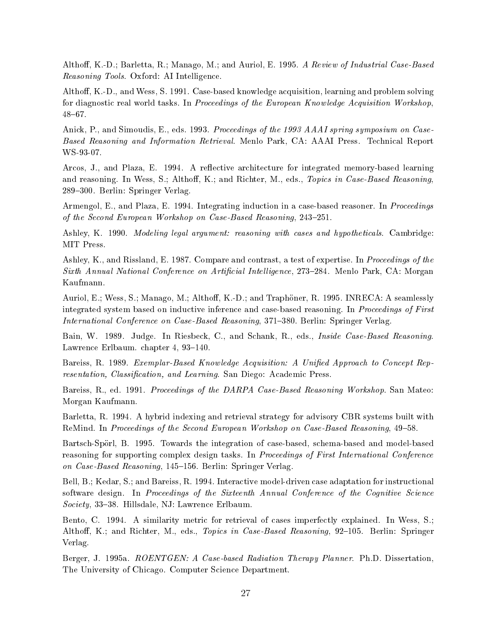Althoff, K.-D.; Barletta, R.; Manago, M.; and Auriol, E. 1995. A Review of Industrial Case-Based Reasoning Tools. Oxford: AI Intelligence.

Althoff, K.-D., and Wess, S. 1991. Case-based knowledge acquisition, learning and problem solving for diagnostic real world tasks. In Proceedings of the European Know ledge Acquisition Workshop, 48-67.

Anick, P., and Simoudis, E., eds. 1993. Proceedings of the 1993 AAAI spring symposium on Case-Based Reasoning and Information Retrieval. Menlo Park, CA: AAAI Press. Technical Report WS-93-07.

Arcos, J., and Plaza, E. 1994. A reflective architecture for integrated memory-based learning and reasoning. In Wess, S.; Althoff, K.; and Richter, M., eds., Topics in Case-Based Reasoning, 289-300. Berlin: Springer Verlag.

Armengol, E., and Plaza, E. 1994. Integrating induction in a case-based reasoner. In *Proceedings* of the Second European Workshop on Case-Based Reasoning,  $243-251$ .

Ashley, K. 1990. Modeling legal argument: reasoning with cases and hypotheticals. Cambridge: MIT Press.

Ashley, K., and Rissland, E. 1987. Compare and contrast, a test of expertise. In Proceedings of the Sixth Annual National Conference on Artificial Intelligence, 273–284. Menlo Park, CA: Morgan Kaufmann.

Auriol, E.; Wess, S.; Manago, M.; Althoff, K.-D.; and Traphöner, R. 1995. INRECA: A seamlessly integrated system based on inductive inference and case-based reasoning. In Proceedings of First International Conference on Case-Based Reasoning, 371-380. Berlin: Springer Verlag.

Bain, W. 1989. Judge. In Riesbeck, C., and Schank, R., eds., Inside Case-Based Reasoning. Lawrence Erlbaum. chapter 4, 93-140.

Bareiss, R. 1989. Exemplar-Based Knowledge Acquisition: A Unified Approach to Concept Representation, Classification, and Learning. San Diego: Academic Press.

Bareiss, R., ed. 1991. Proceedings of the DARPA Case-Based Reasoning Workshop. San Mateo: Morgan Kaufmann.

Barletta, R. 1994. A hybrid indexing and retrieval strategy for advisory CBR systems built with ReMind. In Proceedings of the Second European Workshop on Case-Based Reasoning, 49-58.

Bartsch-Sporl, B. 1995. Towards the integration of case-based, schema-based and model-based reasoning for supporting complex design tasks. In Proceedings of First International Conference on Case-Based Reasoning, 145-156. Berlin: Springer Verlag.

Bell, B.; Kedar, S.; and Bareiss, R. 1994. Interactive model-driven case adaptation for instructional software design. In Proceedings of the Sixteenth Annual Conference of the Cognitive Science  $Society, 33-38.$  Hillsdale, NJ: Lawrence Erlbaum.

Bento, C. 1994. A similarity metric for retrieval of cases imperfectly explained. In Wess, S.; Althoff, K.; and Richter, M., eds., *Topics in Case-Based Reasoning*, 92–105. Berlin: Springer Verlag.

Berger, J. 1995a. ROENTGEN: A Case-based Radiation Therapy Planner. Ph.D. Dissertation, The University of Chicago. Computer Science Department.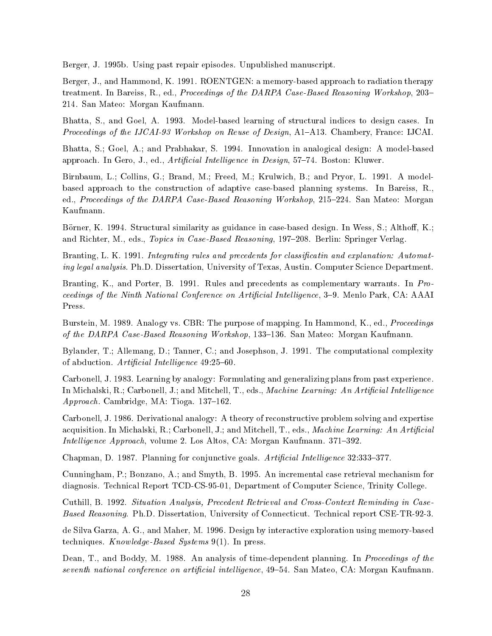Berger, J. 1995b. Using past repair episodes. Unpublished manuscript.

Berger, J., and Hammond, K. 1991. ROENTGEN: a memory-based approach to radiation therapy treatment. In Bareiss, R., ed., Proceedings of the DARPA Case-Based Reasoning Workshop, 203-214. San Mateo: Morgan Kaufmann.

Bhatta, S., and Goel, A. 1993. Model-based learning of structural indices to design cases. In Proceedings of the IJCAI-93 Workshop on Reuse of Design, A1-A13. Chambery, France: IJCAI.

Bhatta, S.; Goel, A.; and Prabhakar, S. 1994. Innovation in analogical design: A model-based approach. In Gero, J., ed., Artificial Intelligence in Design, 57-74. Boston: Kluwer.

Birnbaum, L.; Collins, G.; Brand, M.; Freed, M.; Krulwich, B.; and Pryor, L. 1991. A modelbased approach to the construction of adaptive case-based planning systems. In Bareiss, R., ed., Proceedings of the DARPA Case-Based Reasoning Workshop, 215-224. San Mateo: Morgan Kaufmann.

Börner, K. 1994. Structural similarity as guidance in case-based design. In Wess, S.; Althoff, K.; and Richter, M., eds., Topics in Case-Based Reasoning, 197-208. Berlin: Springer Verlag.

Branting, L. K. 1991. Integrating rules and precedents for classificatin and explanation: Automating legal analysis. Ph.D. Dissertation, University of Texas, Austin. Computer Science Department.

Branting, K., and Porter, B. 1991. Rules and precedents as complementary warrants. In Proceedings of the Ninth National Conference on Artificial Intelligence, 3–9. Menlo Park, CA: AAAI Press.

Burstein, M. 1989. Analogy vs. CBR: The purpose of mapping. In Hammond, K., ed., *Proceedings* of the DARPA Case-Based Reasoning Workshop, 133–136. San Mateo: Morgan Kaufmann.

Bylander, T.; Allemang, D.; Tanner, C.; and Josephson, J. 1991. The computational complexity of abduction. Artificial Intelligence 49:25-60.

Carbonell, J. 1983. Learning by analogy: Formulating and generalizing plans from past experience. In Michalski, R.; Carbonell, J.; and Mitchell, T., eds., *Machine Learning: An Artificial Intelligence*  $Approach.$  Cambridge, MA: Tioga. 137-162.

Carbonell, J. 1986. Derivational analogy: A theory of reconstructive problem solving and expertise acquisition. In Michalski, R.; Carbonell, J.; and Mitchell, T., eds., *Machine Learning: An Artificial* Intelligence Approach, volume 2. Los Altos, CA: Morgan Kaufmann. 371-392.

Chapman, D. 1987. Planning for conjunctive goals. Artificial Intelligence 32:333-377.

Cunningham, P.; Bonzano, A.; and Smyth, B. 1995. An incremental case retrieval mechanism for diagnosis. Technical Report TCD-CS-95-01, Department of Computer Science, Trinity College.

Cuthill, B. 1992. Situation Analysis, Precedent Retrieval and Cross-Context Reminding in Case-Based Reasoning. Ph.D. Dissertation, University of Connecticut. Technical report CSE-TR-92-3.

de Silva Garza, A. G., and Maher, M. 1996. Design by interactive exploration using memory-based techniques. Knowledge-Based Systems  $9(1)$ . In press.

Dean, T., and Boddy, M. 1988. An analysis of time-dependent planning. In Proceedings of the seventh national conference on artificial intelligence, 49-54. San Mateo, CA: Morgan Kaufmann.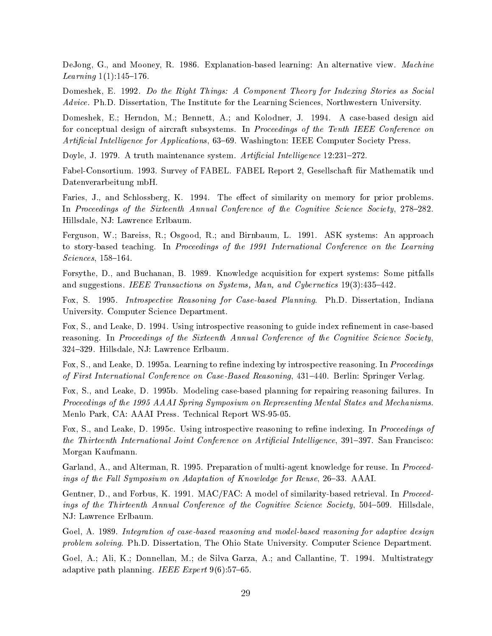DeJong, G., and Mooney, R. 1986. Explanation-based learning: An alternative view. Machine Learning  $1(1):145-176$ .

Domeshek, E. 1992. Do the Right Things: A Component Theory for Indexing Stories as Social Advice. Ph.D. Dissertation, The Institute for the Learning Sciences, Northwestern University.

Domeshek, E.; Herndon, M.; Bennett, A.; and Kolodner, J. 1994. A case-based design aid for conceptual design of aircraft subsystems. In Proceedings of the Tenth IEEE Conference on Artificial Intelligence for Applications, 63-69. Washington: IEEE Computer Society Press.

Doyle, J. 1979. A truth maintenance system. Artificial Intelligence 12:231-272.

Fabel-Consortium. 1993. Survey of FABEL. FABEL Report 2, Gesellschaft fur Mathematik und Datenverarbeitung mbH.

Faries, J., and Schlossberg, K. 1994. The effect of similarity on memory for prior problems. In Proceedings of the Sixteenth Annual Conference of the Cognitive Science Society, 278-282. Hillsdale, NJ: Lawrence Erlbaum.

Ferguson, W.; Bareiss, R.; Osgood, R.; and Birnbaum, L. 1991. ASK systems: An approach to story-based teaching. In Proceedings of the 1991 International Conference on the Learning  $Sciences$ , 158-164.

Forsythe, D., and Buchanan, B. 1989. Knowledge acquisition for expert systems: Some pitfalls and suggestions. IEEE Transactions on Systems, Man, and Cybernetics  $19(3):435{-}442$ .

Fox, S. 1995. Introspective Reasoning for Case-based Planning. Ph.D. Dissertation, Indiana University. Computer Science Department.

Fox, S., and Leake, D. 1994. Using introspective reasoning to guide index refinement in case-based reasoning. In Proceedings of the Sixteenth Annual Conference of the Cognitive Science Society, 324{329. Hillsdale, NJ: Lawrence Erlbaum.

Fox, S., and Leake, D. 1995a. Learning to refine indexing by introspective reasoning. In Proceedings of First International Conference on Case-Based Reasoning, 431-440. Berlin: Springer Verlag.

Fox, S., and Leake, D. 1995b. Modeling case-based planning for repairing reasoning failures. In Proceedings of the 1995 AAAI Spring Symposium on Representing Mental States and Mechanisms. Menlo Park, CA: AAAI Press. Technical Report WS-95-05.

Fox, S., and Leake, D. 1995c. Using introspective reasoning to refine indexing. In Proceedings of the Thirteenth International Joint Conference on Artificial Intelligence, 391–397. San Francisco: Morgan Kaufmann.

Garland, A., and Alterman, R. 1995. Preparation of multi-agent knowledge for reuse. In Proceedings of the Fall Symposium on Adaptation of Knowledge for Reuse, 26-33. AAAI.

Gentner, D., and Forbus, K. 1991. MAC/FAC: A model of similarity-based retrieval. In Proceedings of the Thirteenth Annual Conference of the Cognitive Science Society,  $504-509$ . Hillsdale, NJ: Lawrence Erlbaum.

Goel, A. 1989. Integration of case-based reasoning and model-based reasoning for adaptive design problem solving. Ph.D. Dissertation, The Ohio State University. Computer Science Department.

Goel, A.; Ali, K.; Donnellan, M.; de Silva Garza, A.; and Callantine, T. 1994. Multistrategy adaptive path planning. IEEE Expert  $9(6):57{-}65$ .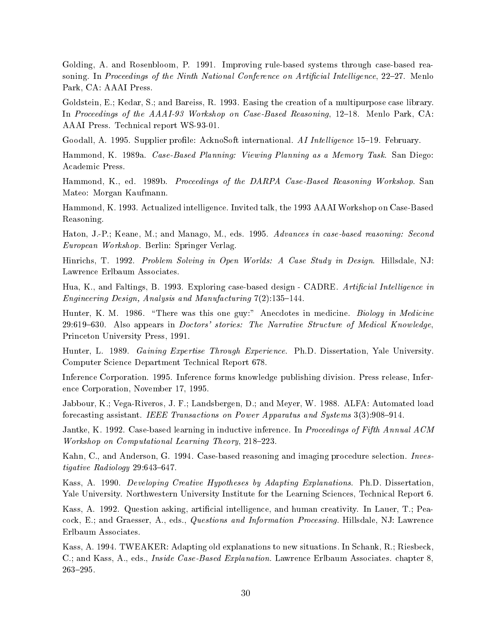Golding, A. and Rosenbloom, P. 1991. Improving rule-based systems through case-based reasoning. In Proceedings of the Ninth National Conference on Artificial Intelligence,  $22-27$ . Menlo Park, CA: AAAI Press.

Goldstein, E.; Kedar, S.; and Bareiss, R. 1993. Easing the creation of a multipurpose case library. In Proceedings of the  $A A A I - 93$  Workshop on Case-Based Reasoning, 12-18. Menlo Park, CA: AAAI Press. Technical report WS-93-01.

Goodall, A. 1995. Supplier profile: AcknoSoft international. AI Intelligence 15–19. February.

Hammond, K. 1989a. Case-Based Planning: Viewing Planning as a Memory Task. San Diego: Academic Press.

Hammond, K., ed. 1989b. Proceedings of the DARPA Case-Based Reasoning Workshop. San Mateo: Morgan Kaufmann.

Hammond, K. 1993. Actualized intelligence. Invited talk, the 1993 AAAI Workshop on Case-Based Reasoning.

Haton, J.-P.; Keane, M.; and Manago, M., eds. 1995. Advances in case-based reasoning: Second European Workshop. Berlin: Springer Verlag.

Hinrichs, T. 1992. Problem Solving in Open Worlds: A Case Study in Design. Hillsdale, NJ: Lawrence Erlbaum Associates.

Hua, K., and Faltings, B. 1993. Exploring case-based design - CADRE. Artificial Intelligence in Engineering Design, Analysis and Manufacturing  $7(2)$ :135-144.

Hunter, K. M. 1986. "There was this one guy:" Anecdotes in medicine. Biology in Medicine 29:619-630. Also appears in *Doctors' stories: The Narrative Structure of Medical Knowledge*, Princeton University Press, 1991.

Hunter, L. 1989. Gaining Expertise Through Experience. Ph.D. Dissertation, Yale University. Computer Science Department Technical Report 678.

Inference Corporation. 1995. Inference forms knowledge publishing division. Press release, Inference Corporation, November 17, 1995.

Jabbour, K.; Vega-Riveros, J. F.; Landsbergen, D.; and Meyer, W. 1988. ALFA: Automated load forecasting assistant. IEEE Transactions on Power Apparatus and Systems  $3(3):908-914$ .

Jantke, K. 1992. Case-based learning in inductive inference. In Proceedings of Fifth Annual ACM Workshop on Computational Learning Theory, 218-223.

Kahn, C., and Anderson, G. 1994. Case-based reasoning and imaging procedure selection. Investigative Radiology  $29:643{-}647$ .

Kass, A. 1990. Developing Creative Hypotheses by Adapting Explanations. Ph.D. Dissertation, Yale University. Northwestern University Institute for the Learning Sciences, Technical Report 6.

Kass, A. 1992. Question asking, articial intelligence, and human creativity. In Lauer, T.; Peacock, E.; and Graesser, A., eds., Questions and Information Processing. Hillsdale, NJ: Lawrence Erlbaum Associates.

Kass, A. 1994. TWEAKER: Adapting old explanations to new situations. In Schank, R.; Riesbeck, C.; and Kass, A., eds., Inside Case-Based Explanation. Lawrence Erlbaum Associates. chapter 8,  $263{-}295.$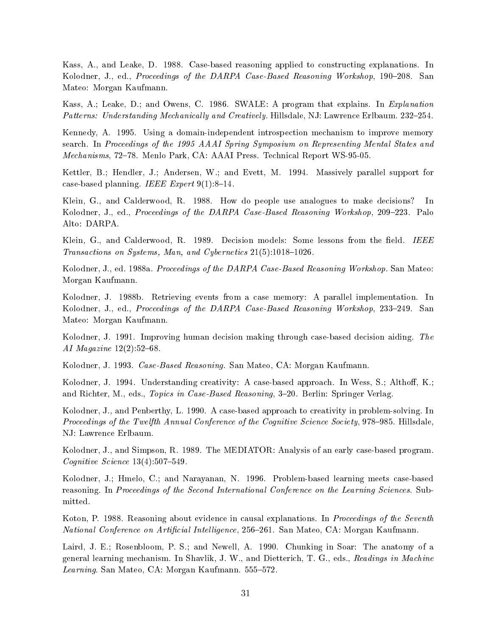Kass, A., and Leake, D. 1988. Case-based reasoning applied to constructing explanations. In Kolodner, J., ed., *Proceedings of the DARPA Case-Based Reasoning Workshop*, 190–208. San Mateo: Morgan Kaufmann.

Kass, A.; Leake, D.; and Owens, C. 1986. SWALE: A program that explains. In Explanation Patterns: Understanding Mechanically and Creatively. Hillsdale, NJ: Lawrence Erlbaum. 232–254.

Kennedy, A. 1995. Using a domain-independent introspection mechanism to improve memory search. In Proceedings of the 1995 AAAI Spring Symposium on Representing Mental States and Mechanisms, 72-78. Menlo Park, CA: AAAI Press. Technical Report WS-95-05.

Kettler, B.; Hendler, J.; Andersen, W.; and Evett, M. 1994. Massively parallel support for case-based planning. IEEE Expert  $9(1):8-14$ .

Klein, G., and Calderwood, R. 1988. How do people use analogues to make decisions? In Kolodner, J., ed., *Proceedings of the DARPA Case-Based Reasoning Workshop*, 209-223. Palo Alto: DARPA.

Klein, G., and Calderwood, R. 1989. Decision models: Some lessons from the field. IEEE Transactions on Systems, Man, and Cybernetics  $21(5):1018{-}1026$ .

Kolodner, J., ed. 1988a. Proceedings of the DARPA Case-Based Reasoning Workshop. San Mateo: Morgan Kaufmann.

Kolodner, J. 1988b. Retrieving events from a case memory: A parallel implementation. In Kolodner, J., ed., Proceedings of the DARPA Case-Based Reasoning Workshop, 233-249. San Mateo: Morgan Kaufmann.

Kolodner, J. 1991. Improving human decision making through case-based decision aiding. The AI Magazine  $12(2):52{-}68$ .

Kolodner, J. 1993. Case-Based Reasoning. San Mateo, CA: Morgan Kaufmann.

Kolodner, J. 1994. Understanding creativity: A case-based approach. In Wess, S.; Althoff, K.; and Richter, M., eds., *Topics in Case-Based Reasoning*, 3-20. Berlin: Springer Verlag.

Kolodner, J., and Penberthy, L. 1990. A case-based approach to creativity in problem-solving. In Proceedings of the Twelfth Annual Conference of the Cognitive Science Society, 978–985. Hillsdale, NJ: Lawrence Erlbaum.

Kolodner, J., and Simpson, R. 1989. The MEDIATOR: Analysis of an early case-based program. Cognitive Science  $13(4):507-549$ .

Kolodner, J.; Hmelo, C.; and Narayanan, N. 1996. Problem-based learning meets case-based reasoning. In Proceedings of the Second International Conference on the Learning Sciences. Submitted.

Koton, P. 1988. Reasoning about evidence in causal explanations. In *Proceedings of the Seventh* National Conference on Artificial Intelligence, 256–261. San Mateo, CA: Morgan Kaufmann.

Laird, J. E.; Rosenbloom, P. S.; and Newell, A. 1990. Chunking in Soar: The anatomy of a general learning mechanism. In Shavlik, J. W., and Dietterich, T. G., eds., Readings in Machine  $Learning.$  San Mateo, CA: Morgan Kaufmann. 555-572.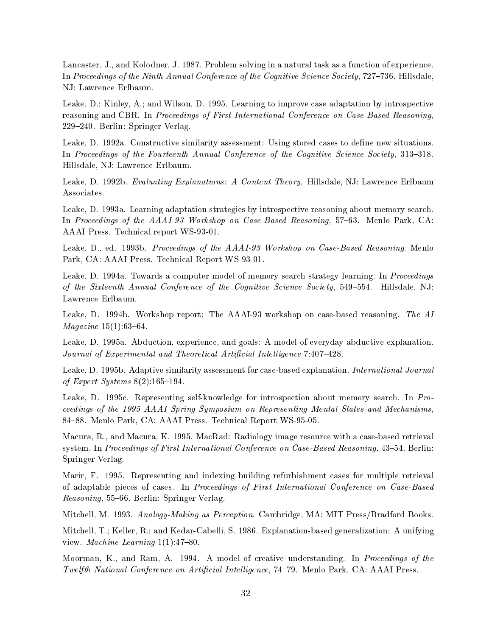Lancaster, J., and Kolodner, J. 1987. Problem solving in a natural task as a function of experience. In Proceedings of the Ninth Annual Conference of the Cognitive Science Society,  $727-736$ . Hillsdale, NJ: Lawrence Erlbaum.

Leake, D.; Kinley, A.; and Wilson, D. 1995. Learning to improve case adaptation by introspective reasoning and CBR. In Proceedings of First International Conference on Case-Based Reasoning, 229-240. Berlin: Springer Verlag.

Leake, D. 1992a. Constructive similarity assessment: Using stored cases to define new situations. In Proceedings of the Fourteenth Annual Conference of the Cognitive Science Society, 313-318. Hillsdale, NJ: Lawrence Erlbaum.

Leake, D. 1992b. Evaluating Explanations: A Content Theory. Hillsdale, NJ: Lawrence Erlbaum Associates.

Leake, D. 1993a. Learning adaptation strategies by introspective reasoning about memory search. In Proceedings of the AAAI-93 Workshop on Case-Based Reasoning, 57-63. Menlo Park, CA: AAAI Press. Technical report WS-93-01.

Leake, D., ed. 1993b. Proceedings of the AAAI-93 Workshop on Case-Based Reasoning. Menlo Park, CA: AAAI Press. Technical Report WS-93-01.

Leake, D. 1994a. Towards a computer model of memory search strategy learning. In Proceedings of the Sixteenth Annual Conference of the Cognitive Science Society, 549–554. Hillsdale, NJ: Lawrence Erlbaum.

Leake, D. 1994b. Workshop report: The AAAI-93 workshop on case-based reasoning. The AI *Magazine*  $15(1):63{-}64$ .

Leake, D. 1995a. Abduction, experience, and goals: A model of everyday abductive explanation. Journal of Experimental and Theoretical Artificial Intelligence 7:407-428.

Leake, D. 1995b. Adaptive similarity assessment for case-based explanation. International Journal of Expert Systems  $8(2):165{-}194$ .

Leake, D. 1995c. Representing self-knowledge for introspection about memory search. In Proceedings of the 1995 AAAI Spring Symposium on Representing Mental States and Mechanisms, 84-88. Menlo Park, CA: AAAI Press. Technical Report WS-95-05.

Macura, R., and Macura, K. 1995. MacRad: Radiology image resource with a case-based retrieval system. In Proceedings of First International Conference on Case-Based Reasoning, 43-54. Berlin: Springer Verlag.

Marir, F. 1995. Representing and indexing building refurbishment cases for multiple retrieval of adaptable pieces of cases. In Proceedings of First International Conference on Case-Based Reasoning, 55-66. Berlin: Springer Verlag.

Mitchell, M. 1993. Analogy-Making as Perception. Cambridge, MA: MIT Press/Bradford Books.

Mitchell, T.; Keller, R.; and Kedar-Cabelli, S. 1986. Explanation-based generalization: A unifying view. *Machine Learning*  $1(1):47{-}80$ .

Moorman, K., and Ram, A. 1994. A model of creative understanding. In Proceedings of the Twelfth National Conference on Artificial Intelligence, 74-79. Menlo Park, CA: AAAI Press.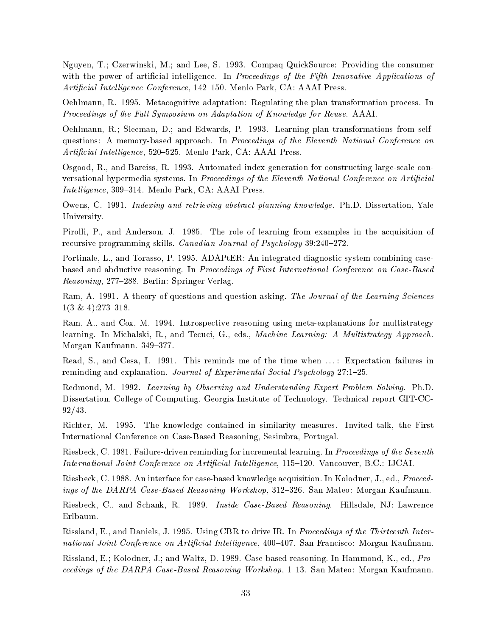Nguyen, T.; Czerwinski, M.; and Lee, S. 1993. Compaq QuickSource: Providing the consumer with the power of artificial intelligence. In Proceedings of the Fifth Innovative Applications of Artificial Intelligence Conference, 142-150. Menlo Park, CA: AAAI Press.

Oehlmann, R. 1995. Metacognitive adaptation: Regulating the plan transformation process. In Proceedings of the Fall Symposium on Adaptation of Knowledge for Reuse. AAAI.

Oehlmann, R.; Sleeman, D.; and Edwards, P. 1993. Learning plan transformations from selfquestions: A memory-based approach. In Proceedings of the Eleventh National Conference on Artificial Intelligence, 520–525. Menlo Park, CA: AAAI Press.

Osgood, R., and Bareiss, R. 1993. Automated index generation for constructing large-scale conversational hypermedia systems. In Proceedings of the Eleventh National Conference on Artificial Intelligence, 309-314. Menlo Park, CA: AAAI Press.

Owens, C. 1991. Indexing and retrieving abstract planning know ledge. Ph.D. Dissertation, Yale University.

Pirolli, P., and Anderson, J. 1985. The role of learning from examples in the acquisition of recursive programming skills. *Canadian Journal of Psychology*  $39:240-272$ .

Portinale, L., and Torasso, P. 1995. ADAPtER: An integrated diagnostic system combining casebased and abductive reasoning. In Proceedings of First International Conference on Case-Based Reasoning, 277-288. Berlin: Springer Verlag.

Ram, A. 1991. A theory of questions and question asking. The Journal of the Learning Sciences  $1(3 \& 4):273{-}318.$ 

Ram, A., and Cox, M. 1994. Introspective reasoning using meta-explanations for multistrategy learning. In Michalski, R., and Tecuci, G., eds., Machine Learning: A Multistrategy Approach. Morgan Kaufmann. 349-377.

Read, S., and Cesa, I. 1991. This reminds me of the time when ...: Expectation failures in reminding and explanation. Journal of Experimental Social Psychology  $27:1-25$ .

Redmond, M. 1992. Learning by Observing and Understanding Expert Problem Solving. Ph.D. Dissertation, College of Computing, Georgia Institute of Technology. Technical report GIT-CC-92/43.

Richter, M. 1995. The knowledge contained in similarity measures. Invited talk, the First International Conference on Case-Based Reasoning, Sesimbra, Portugal.

Riesbeck, C. 1981. Failure-driven reminding for incremental learning. In Proceedings of the Seventh International Joint Conference on Artificial Intelligence, 115-120. Vancouver, B.C.: IJCAI.

Riesbeck, C. 1988. An interface for case-based knowledge acquisition. In Kolodner, J., ed., Proceedings of the DARPA Case-Based Reasoning Workshop, 312-326. San Mateo: Morgan Kaufmann.

Riesbeck, C., and Schank, R. 1989. Inside Case-Based Reasoning. Hillsdale, NJ: Lawrence Erlbaum.

Rissland, E., and Daniels, J. 1995. Using CBR to drive IR. In Proceedings of the Thirteenth International Joint Conference on Artificial Intelligence, 400–407. San Francisco: Morgan Kaufmann.

Rissland, E.; Kolodner, J.; and Waltz, D. 1989. Case-based reasoning. In Hammond, K., ed., Proceedings of the DARPA Case-Based Reasoning Workshop, 1-13. San Mateo: Morgan Kaufmann.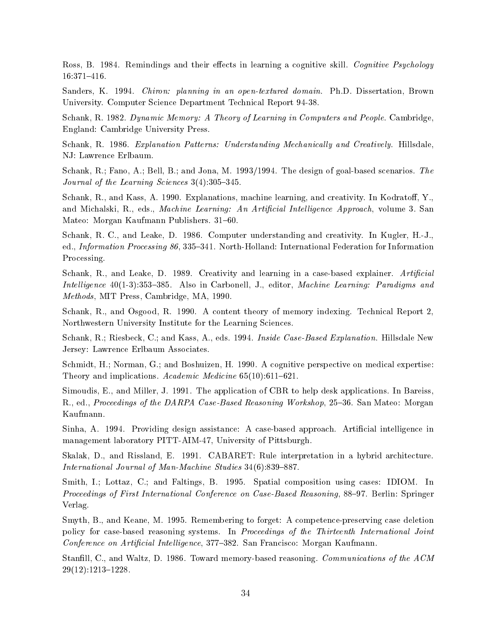Ross, B. 1984. Remindings and their effects in learning a cognitive skill. Cognitive Psychology 16:371-416.

Sanders, K. 1994. Chiron: planning in an open-textured domain. Ph.D. Dissertation, Brown University. Computer Science Department Technical Report 94-38.

Schank, R. 1982. Dynamic Memory: A Theory of Learning in Computers and People. Cambridge, England: Cambridge University Press.

Schank, R. 1986. Explanation Patterns: Understanding Mechanically and Creatively. Hillsdale, NJ: Lawrence Erlbaum.

Schank, R.; Fano, A.; Bell, B.; and Jona, M. 1993/1994. The design of goal-based scenarios. The Journal of the Learning Sciences  $3(4):305-345$ .

Schank, R., and Kass, A. 1990. Explanations, machine learning, and creativity. In Kodratoff, Y., and Michalski, R., eds., *Machine Learning: An Artificial Intelligence Approach*, volume 3. San Mateo: Morgan Kaufmann Publishers.  $31{-}60$ .

Schank, R. C., and Leake, D. 1986. Computer understanding and creativity. In Kugler, H.-J., ed., Information Processing 86, 335-341. North-Holland: International Federation for Information Processing.

Schank, R., and Leake, D. 1989. Creativity and learning in a case-based explainer. Artificial Intelligence  $40(1-3):353-385.$  Also in Carbonell, J., editor, *Machine Learning: Paradigms and* Methods, MIT Press, Cambridge, MA, 1990.

Schank, R., and Osgood, R. 1990. A content theory of memory indexing. Technical Report 2, Northwestern University Institute for the Learning Sciences.

Schank, R.; Riesbeck, C.; and Kass, A., eds. 1994. Inside Case-Based Explanation. Hillsdale New Jersey: Lawrence Erlbaum Associates.

Schmidt, H.; Norman, G.; and Boshuizen, H. 1990. A cognitive perspective on medical expertise: Theory and implications. Academic Medicine  $65(10):611-621$ .

Simoudis, E., and Miller, J. 1991. The application of CBR to help desk applications. In Bareiss, R., ed., Proceedings of the DARPA Case-Based Reasoning Workshop, 25-36. San Mateo: Morgan Kaufmann.

Sinha, A. 1994. Providing design assistance: A case-based approach. Artificial intelligence in management laboratory PITT-AIM-47, University of Pittsburgh.

Skalak, D., and Rissland, E. 1991. CABARET: Rule interpretation in a hybrid architecture. International Journal of Man-Machine Studies  $34(6):839-887$ .

Smith, I.; Lottaz, C.; and Faltings, B. 1995. Spatial composition using cases: IDIOM. In Proceedings of First International Conference on Case-Based Reasoning, 88-97. Berlin: Springer Verlag.

Smyth, B., and Keane, M. 1995. Remembering to forget: A competence-preserving case deletion policy for case-based reasoning systems. In Proceedings of the Thirteenth International Joint Conference on Artificial Intelligence, 377-382. San Francisco: Morgan Kaufmann.

Stanfill, C., and Waltz, D. 1986. Toward memory-based reasoning. Communications of the ACM  $29(12):1213 - 1228.$